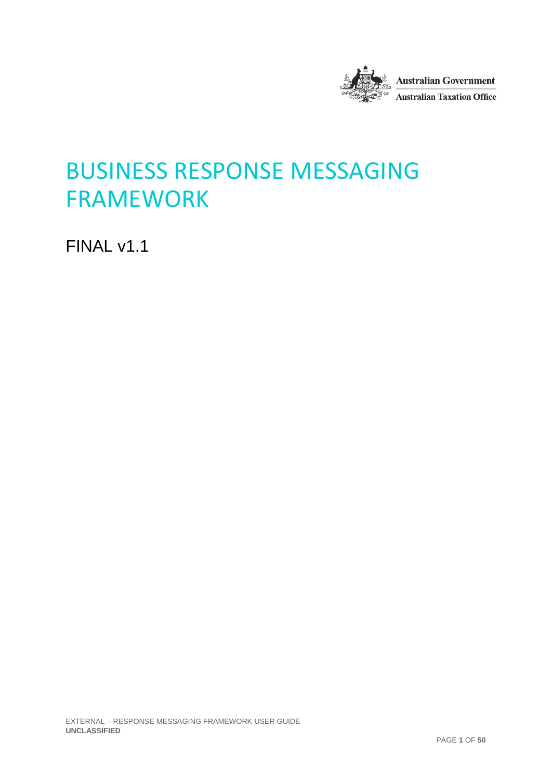

# BUSINESS RESPONSE MESSAGING FRAMEWORK

FINAL v1.1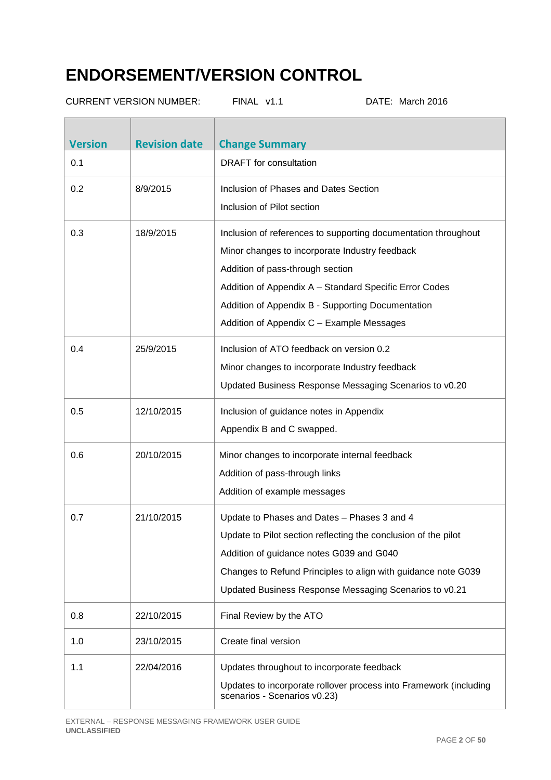# **ENDORSEMENT/VERSION CONTROL**

| <b>CURRENT VERSION NUMBER:</b> |                      | FINAL v1.1                                                                                                                      | DATE: March 2016                                                                                                                                                                          |
|--------------------------------|----------------------|---------------------------------------------------------------------------------------------------------------------------------|-------------------------------------------------------------------------------------------------------------------------------------------------------------------------------------------|
| <b>Version</b>                 | <b>Revision date</b> | <b>Change Summary</b>                                                                                                           |                                                                                                                                                                                           |
| 0.1                            |                      | <b>DRAFT</b> for consultation                                                                                                   |                                                                                                                                                                                           |
| 0.2                            | 8/9/2015             | Inclusion of Phases and Dates Section<br>Inclusion of Pilot section                                                             |                                                                                                                                                                                           |
| 0.3                            | 18/9/2015            | Minor changes to incorporate Industry feedback<br>Addition of pass-through section<br>Addition of Appendix C - Example Messages | Inclusion of references to supporting documentation throughout<br>Addition of Appendix A - Standard Specific Error Codes<br>Addition of Appendix B - Supporting Documentation             |
| 0.4                            | 25/9/2015            | Inclusion of ATO feedback on version 0.2<br>Minor changes to incorporate Industry feedback                                      | Updated Business Response Messaging Scenarios to v0.20                                                                                                                                    |
| 0.5                            | 12/10/2015           | Inclusion of guidance notes in Appendix<br>Appendix B and C swapped.                                                            |                                                                                                                                                                                           |
| 0.6                            | 20/10/2015           | Minor changes to incorporate internal feedback<br>Addition of pass-through links<br>Addition of example messages                |                                                                                                                                                                                           |
| 0.7                            | 21/10/2015           | Update to Phases and Dates - Phases 3 and 4<br>Addition of guidance notes G039 and G040                                         | Update to Pilot section reflecting the conclusion of the pilot<br>Changes to Refund Principles to align with guidance note G039<br>Updated Business Response Messaging Scenarios to v0.21 |
| 0.8                            | 22/10/2015           | Final Review by the ATO                                                                                                         |                                                                                                                                                                                           |
| 1.0                            | 23/10/2015           | Create final version                                                                                                            |                                                                                                                                                                                           |
| 1.1                            | 22/04/2016           | Updates throughout to incorporate feedback<br>scenarios - Scenarios v0.23)                                                      | Updates to incorporate rollover process into Framework (including                                                                                                                         |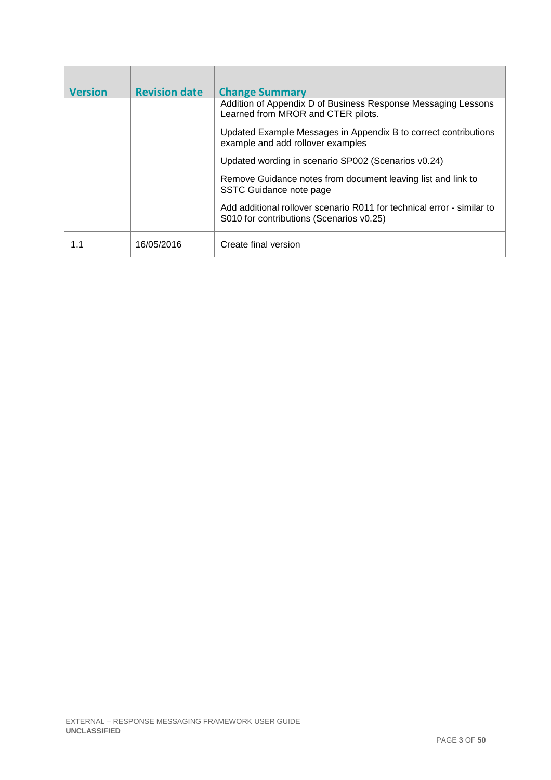| <b>Version</b> | <b>Revision date</b> | <b>Change Summary</b>                                                                                              |
|----------------|----------------------|--------------------------------------------------------------------------------------------------------------------|
|                |                      | Addition of Appendix D of Business Response Messaging Lessons<br>Learned from MROR and CTER pilots.                |
|                |                      | Updated Example Messages in Appendix B to correct contributions<br>example and add rollover examples               |
|                |                      | Updated wording in scenario SP002 (Scenarios v0.24)                                                                |
|                |                      | Remove Guidance notes from document leaving list and link to<br>SSTC Guidance note page                            |
|                |                      | Add additional rollover scenario R011 for technical error - similar to<br>S010 for contributions (Scenarios v0.25) |
|                | 16/05/2016           | Create final version                                                                                               |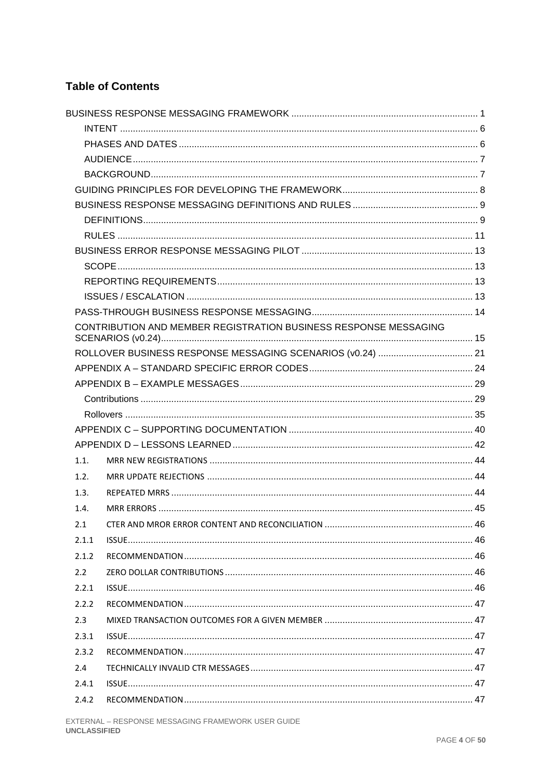### **Table of Contents**

|       | CONTRIBUTION AND MEMBER REGISTRATION BUSINESS RESPONSE MESSAGING |  |
|-------|------------------------------------------------------------------|--|
|       |                                                                  |  |
|       |                                                                  |  |
|       |                                                                  |  |
|       |                                                                  |  |
|       |                                                                  |  |
|       |                                                                  |  |
|       |                                                                  |  |
| 1.1.  |                                                                  |  |
| 1.2.  |                                                                  |  |
| 1.3.  |                                                                  |  |
| 1.4.  |                                                                  |  |
| 2.1   |                                                                  |  |
| 2.1.1 |                                                                  |  |
| 2.1.2 |                                                                  |  |
| 2.2   |                                                                  |  |
| 2.2.1 |                                                                  |  |
| 2.2.2 |                                                                  |  |
| 2.3   |                                                                  |  |
| 2.3.1 |                                                                  |  |
| 2.3.2 |                                                                  |  |
| 2.4   |                                                                  |  |
| 2.4.1 |                                                                  |  |
| 2.4.2 |                                                                  |  |
|       |                                                                  |  |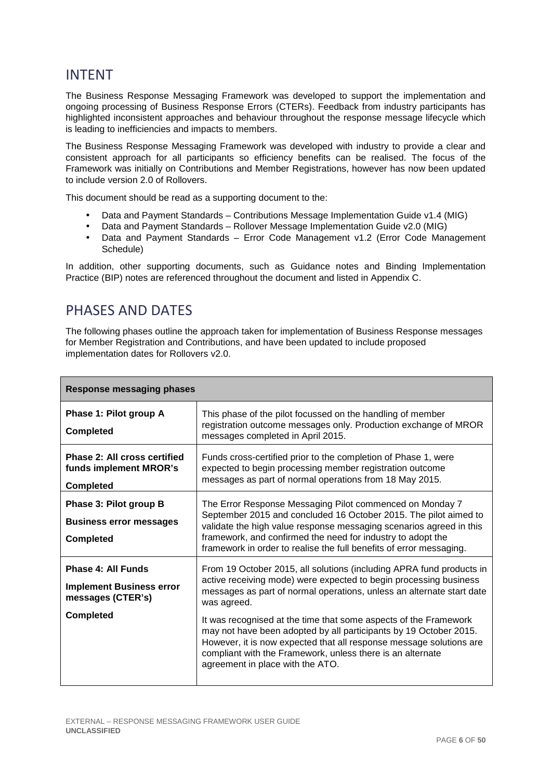## INTENT

The Business Response Messaging Framework was developed to support the implementation and ongoing processing of Business Response Errors (CTERs). Feedback from industry participants has highlighted inconsistent approaches and behaviour throughout the response message lifecycle which is leading to inefficiencies and impacts to members.

The Business Response Messaging Framework was developed with industry to provide a clear and consistent approach for all participants so efficiency benefits can be realised. The focus of the Framework was initially on Contributions and Member Registrations, however has now been updated to include version 2.0 of Rollovers.

This document should be read as a supporting document to the:

- Data and Payment Standards Contributions Message Implementation Guide v1.4 (MIG)
- Data and Payment Standards Rollover Message Implementation Guide v2.0 (MIG)
- Data and Payment Standards Error Code Management v1.2 (Error Code Management Schedule)

In addition, other supporting documents, such as Guidance notes and Binding Implementation Practice (BIP) notes are referenced throughout the document and listed in Appendix C.

## PHASES AND DATES

The following phases outline the approach taken for implementation of Business Response messages for Member Registration and Contributions, and have been updated to include proposed implementation dates for Rollovers v2.0.

| <b>Response messaging phases</b>                                                               |                                                                                                                                                                                                                                                                                                                                                                                                                                                                                                                                                     |  |
|------------------------------------------------------------------------------------------------|-----------------------------------------------------------------------------------------------------------------------------------------------------------------------------------------------------------------------------------------------------------------------------------------------------------------------------------------------------------------------------------------------------------------------------------------------------------------------------------------------------------------------------------------------------|--|
| Phase 1: Pilot group A<br><b>Completed</b>                                                     | This phase of the pilot focussed on the handling of member<br>registration outcome messages only. Production exchange of MROR<br>messages completed in April 2015.                                                                                                                                                                                                                                                                                                                                                                                  |  |
| <b>Phase 2: All cross certified</b><br>funds implement MROR's<br><b>Completed</b>              | Funds cross-certified prior to the completion of Phase 1, were<br>expected to begin processing member registration outcome<br>messages as part of normal operations from 18 May 2015.                                                                                                                                                                                                                                                                                                                                                               |  |
| Phase 3: Pilot group B<br><b>Business error messages</b><br><b>Completed</b>                   | The Error Response Messaging Pilot commenced on Monday 7<br>September 2015 and concluded 16 October 2015. The pilot aimed to<br>validate the high value response messaging scenarios agreed in this<br>framework, and confirmed the need for industry to adopt the<br>framework in order to realise the full benefits of error messaging.                                                                                                                                                                                                           |  |
| Phase 4: All Funds<br><b>Implement Business error</b><br>messages (CTER's)<br><b>Completed</b> | From 19 October 2015, all solutions (including APRA fund products in<br>active receiving mode) were expected to begin processing business<br>messages as part of normal operations, unless an alternate start date<br>was agreed.<br>It was recognised at the time that some aspects of the Framework<br>may not have been adopted by all participants by 19 October 2015.<br>However, it is now expected that all response message solutions are<br>compliant with the Framework, unless there is an alternate<br>agreement in place with the ATO. |  |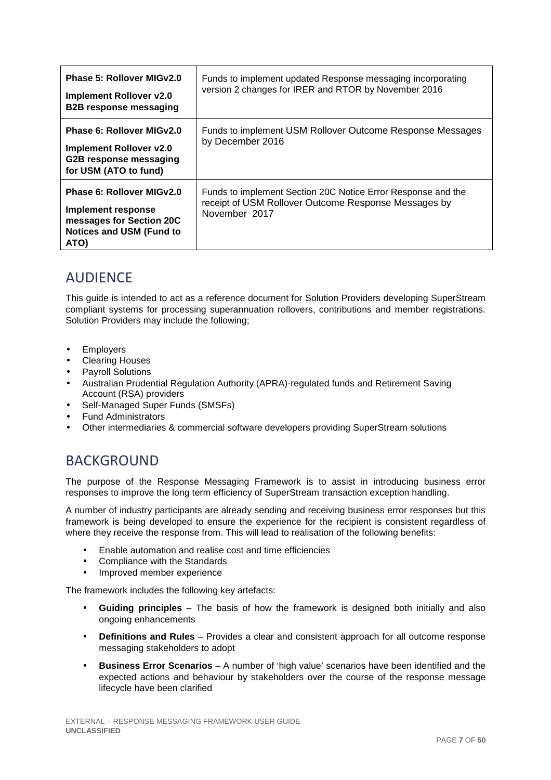| Phase 5: Rollover MIGv2.0<br><b>Implement Rollover v2.0</b><br><b>B2B response messaging</b>                           | Funds to implement updated Response messaging incorporating<br>version 2 changes for IRER and RTOR by November 2016                   |
|------------------------------------------------------------------------------------------------------------------------|---------------------------------------------------------------------------------------------------------------------------------------|
| Phase 6: Rollover MIGv2.0<br><b>Implement Rollover v2.0</b><br>G2B response messaging<br>for USM (ATO to fund)         | Funds to implement USM Rollover Outcome Response Messages<br>by December 2016                                                         |
| Phase 6: Rollover MIGv2.0<br>Implement response<br>messages for Section 20C<br><b>Notices and USM (Fund to</b><br>ATO) | Funds to implement Section 20C Notice Error Response and the<br>receipt of USM Rollover Outcome Response Messages by<br>November 2017 |

## **AUDIFNCF**

This guide is intended to act as a reference document for Solution Providers developing SuperStream compliant systems for processing superannuation rollovers, contributions and member registrations. Solution Providers may include the following;

- Employers
- Clearing Houses
- Payroll Solutions
- Australian Prudential Regulation Authority (APRA)-regulated funds and Retirement Saving Account (RSA) providers
- Self-Managed Super Funds (SMSFs)
- Fund Administrators
- Other intermediaries & commercial software developers providing SuperStream solutions

## BACKGROUND

The purpose of the Response Messaging Framework is to assist in introducing business error responses to improve the long term efficiency of SuperStream transaction exception handling.

A number of industry participants are already sending and receiving business error responses but this framework is being developed to ensure the experience for the recipient is consistent regardless of where they receive the response from. This will lead to realisation of the following benefits:

- Enable automation and realise cost and time efficiencies
- Compliance with the Standards
- Improved member experience

The framework includes the following key artefacts:

- **Guiding principles** The basis of how the framework is designed both initially and also ongoing enhancements
- **Definitions and Rules** Provides a clear and consistent approach for all outcome response messaging stakeholders to adopt
- **Business Error Scenarios** A number of 'high value' scenarios have been identified and the expected actions and behaviour by stakeholders over the course of the response message lifecycle have been clarified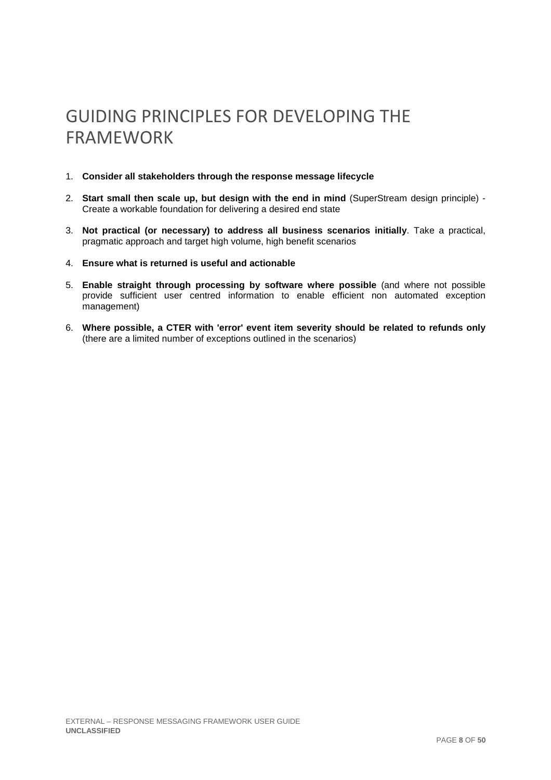# GUIDING PRINCIPLES FOR DEVELOPING THE FRAMEWORK

- 1. **Consider all stakeholders through the response message lifecycle**
- 2. **Start small then scale up, but design with the end in mind** (SuperStream design principle) Create a workable foundation for delivering a desired end state
- 3. **Not practical (or necessary) to address all business scenarios initially**. Take a practical, pragmatic approach and target high volume, high benefit scenarios
- 4. **Ensure what is returned is useful and actionable**
- 5. **Enable straight through processing by software where possible** (and where not possible provide sufficient user centred information to enable efficient non automated exception management)
- 6. **Where possible, a CTER with 'error' event item severity should be related to refunds only** (there are a limited number of exceptions outlined in the scenarios)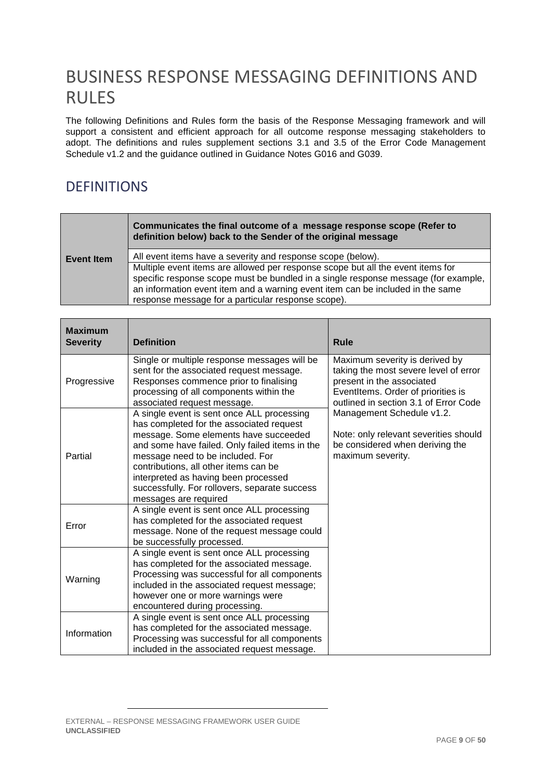# BUSINESS RESPONSE MESSAGING DEFINITIONS AND RULES

The following Definitions and Rules form the basis of the Response Messaging framework and will support a consistent and efficient approach for all outcome response messaging stakeholders to adopt. The definitions and rules supplement sections 3.1 and 3.5 of the Error Code Management Schedule v1.2 and the guidance outlined in Guidance Notes G016 and G039.

## DEFINITIONS

|                   | Communicates the final outcome of a message response scope (Refer to<br>definition below) back to the Sender of the original message                                                                                                                                                                          |
|-------------------|---------------------------------------------------------------------------------------------------------------------------------------------------------------------------------------------------------------------------------------------------------------------------------------------------------------|
| <b>Event Item</b> | All event items have a severity and response scope (below).                                                                                                                                                                                                                                                   |
|                   | Multiple event items are allowed per response scope but all the event items for<br>specific response scope must be bundled in a single response message (for example,<br>an information event item and a warning event item can be included in the same<br>response message for a particular response scope). |

| <b>Maximum</b><br><b>Severity</b> | <b>Definition</b>                                                                                                                                                                                                                                                                                                                                                                | <b>Rule</b>                                                                                                                                                                         |
|-----------------------------------|----------------------------------------------------------------------------------------------------------------------------------------------------------------------------------------------------------------------------------------------------------------------------------------------------------------------------------------------------------------------------------|-------------------------------------------------------------------------------------------------------------------------------------------------------------------------------------|
| Progressive                       | Single or multiple response messages will be<br>sent for the associated request message.<br>Responses commence prior to finalising<br>processing of all components within the<br>associated request message.                                                                                                                                                                     | Maximum severity is derived by<br>taking the most severe level of error<br>present in the associated<br>EventItems. Order of priorities is<br>outlined in section 3.1 of Error Code |
| Partial                           | A single event is sent once ALL processing<br>has completed for the associated request<br>message. Some elements have succeeded<br>and some have failed. Only failed items in the<br>message need to be included. For<br>contributions, all other items can be<br>interpreted as having been processed<br>successfully. For rollovers, separate success<br>messages are required | Management Schedule v1.2.<br>Note: only relevant severities should<br>be considered when deriving the<br>maximum severity.                                                          |
| Error                             | A single event is sent once ALL processing<br>has completed for the associated request<br>message. None of the request message could<br>be successfully processed.                                                                                                                                                                                                               |                                                                                                                                                                                     |
| Warning                           | A single event is sent once ALL processing<br>has completed for the associated message.<br>Processing was successful for all components<br>included in the associated request message;<br>however one or more warnings were<br>encountered during processing.                                                                                                                    |                                                                                                                                                                                     |
| Information                       | A single event is sent once ALL processing<br>has completed for the associated message.<br>Processing was successful for all components<br>included in the associated request message.                                                                                                                                                                                           |                                                                                                                                                                                     |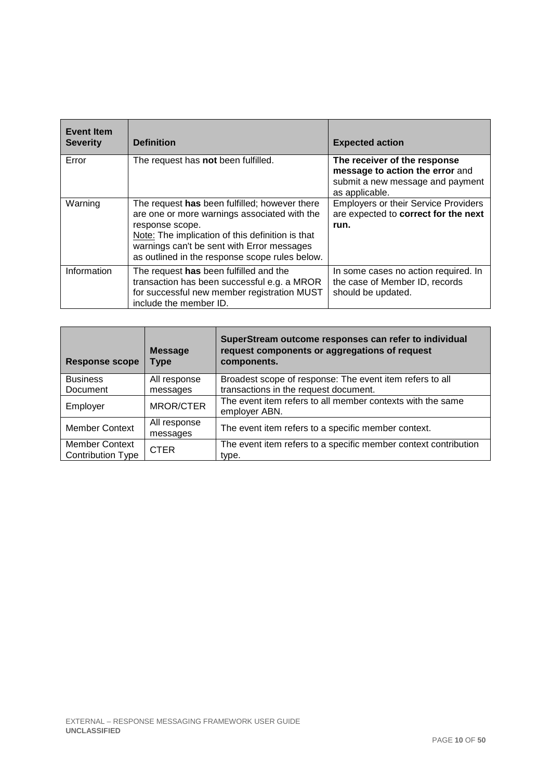| <b>Event Item</b><br><b>Severity</b> | <b>Definition</b>                                                                                                                                                                                                                                                    | <b>Expected action</b>                                                                                                |
|--------------------------------------|----------------------------------------------------------------------------------------------------------------------------------------------------------------------------------------------------------------------------------------------------------------------|-----------------------------------------------------------------------------------------------------------------------|
| Error                                | The request has not been fulfilled.                                                                                                                                                                                                                                  | The receiver of the response<br>message to action the error and<br>submit a new message and payment<br>as applicable. |
| Warning                              | The request has been fulfilled; however there<br>are one or more warnings associated with the<br>response scope.<br>Note: The implication of this definition is that<br>warnings can't be sent with Error messages<br>as outlined in the response scope rules below. | <b>Employers or their Service Providers</b><br>are expected to correct for the next<br>run.                           |
| Information                          | The request has been fulfilled and the<br>transaction has been successful e.g. a MROR<br>for successful new member registration MUST<br>include the member ID.                                                                                                       | In some cases no action required. In<br>the case of Member ID, records<br>should be updated.                          |

| <b>Response scope</b>                             | <b>Message</b><br><b>Type</b> | SuperStream outcome responses can refer to individual<br>request components or aggregations of request<br>components. |
|---------------------------------------------------|-------------------------------|-----------------------------------------------------------------------------------------------------------------------|
| <b>Business</b><br>Document                       | All response<br>messages      | Broadest scope of response: The event item refers to all<br>transactions in the request document.                     |
| Employer                                          | <b>MROR/CTER</b>              | The event item refers to all member contexts with the same<br>employer ABN.                                           |
| <b>Member Context</b>                             | All response<br>messages      | The event item refers to a specific member context.                                                                   |
| <b>Member Context</b><br><b>Contribution Type</b> | <b>CTER</b>                   | The event item refers to a specific member context contribution<br>type.                                              |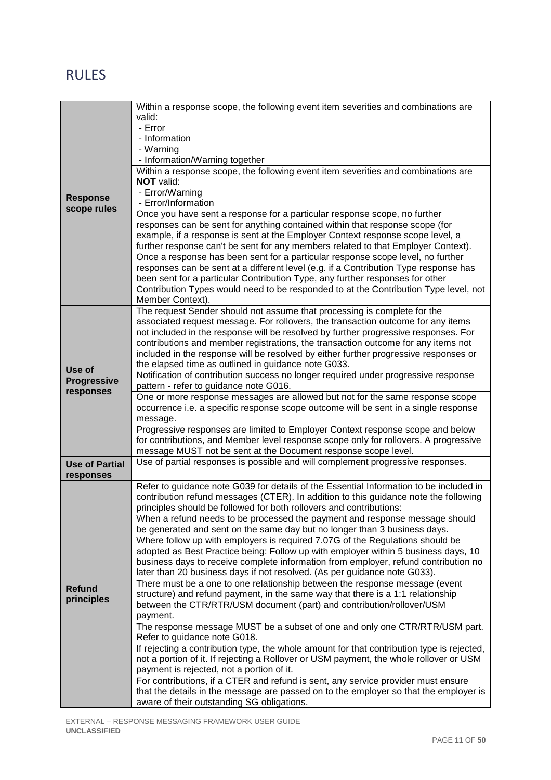## RULES

|                       | Within a response scope, the following event item severities and combinations are                                                                        |
|-----------------------|----------------------------------------------------------------------------------------------------------------------------------------------------------|
|                       | valid:                                                                                                                                                   |
|                       | - Error                                                                                                                                                  |
|                       | - Information                                                                                                                                            |
|                       | - Warning                                                                                                                                                |
|                       | - Information/Warning together<br>Within a response scope, the following event item severities and combinations are                                      |
|                       | NOT valid:                                                                                                                                               |
|                       | - Error/Warning                                                                                                                                          |
| <b>Response</b>       | - Error/Information                                                                                                                                      |
| scope rules           | Once you have sent a response for a particular response scope, no further                                                                                |
|                       | responses can be sent for anything contained within that response scope (for                                                                             |
|                       | example, if a response is sent at the Employer Context response scope level, a                                                                           |
|                       | further response can't be sent for any members related to that Employer Context).                                                                        |
|                       | Once a response has been sent for a particular response scope level, no further                                                                          |
|                       | responses can be sent at a different level (e.g. if a Contribution Type response has                                                                     |
|                       | been sent for a particular Contribution Type, any further responses for other                                                                            |
|                       | Contribution Types would need to be responded to at the Contribution Type level, not                                                                     |
|                       | Member Context).                                                                                                                                         |
|                       | The request Sender should not assume that processing is complete for the                                                                                 |
|                       | associated request message. For rollovers, the transaction outcome for any items                                                                         |
|                       | not included in the response will be resolved by further progressive responses. For                                                                      |
|                       | contributions and member registrations, the transaction outcome for any items not                                                                        |
|                       | included in the response will be resolved by either further progressive responses or<br>the elapsed time as outlined in guidance note G033.              |
| Use of                | Notification of contribution success no longer required under progressive response                                                                       |
| <b>Progressive</b>    | pattern - refer to guidance note G016.                                                                                                                   |
| responses             | One or more response messages are allowed but not for the same response scope                                                                            |
|                       | occurrence i.e. a specific response scope outcome will be sent in a single response                                                                      |
|                       | message.                                                                                                                                                 |
|                       | Progressive responses are limited to Employer Context response scope and below                                                                           |
|                       | for contributions, and Member level response scope only for rollovers. A progressive                                                                     |
|                       | message MUST not be sent at the Document response scope level.                                                                                           |
| <b>Use of Partial</b> | Use of partial responses is possible and will complement progressive responses.                                                                          |
| responses             |                                                                                                                                                          |
|                       | Refer to guidance note G039 for details of the Essential Information to be included in                                                                   |
|                       | contribution refund messages (CTER). In addition to this guidance note the following                                                                     |
|                       | principles should be followed for both rollovers and contributions:                                                                                      |
|                       | When a refund needs to be processed the payment and response message should                                                                              |
|                       | be generated and sent on the same day but no longer than 3 business days.                                                                                |
|                       | Where follow up with employers is required 7.07G of the Regulations should be                                                                            |
|                       | adopted as Best Practice being: Follow up with employer within 5 business days, 10                                                                       |
|                       | business days to receive complete information from employer, refund contribution no                                                                      |
|                       | later than 20 business days if not resolved. (As per guidance note G033).<br>There must be a one to one relationship between the response message (event |
| <b>Refund</b>         | structure) and refund payment, in the same way that there is a 1:1 relationship                                                                          |
| principles            | between the CTR/RTR/USM document (part) and contribution/rollover/USM                                                                                    |
|                       | payment.                                                                                                                                                 |
|                       | The response message MUST be a subset of one and only one CTR/RTR/USM part.                                                                              |
|                       | Refer to guidance note G018.                                                                                                                             |
|                       | If rejecting a contribution type, the whole amount for that contribution type is rejected,                                                               |
|                       | not a portion of it. If rejecting a Rollover or USM payment, the whole rollover or USM                                                                   |
|                       | payment is rejected, not a portion of it.                                                                                                                |
|                       | For contributions, if a CTER and refund is sent, any service provider must ensure                                                                        |
|                       | that the details in the message are passed on to the employer so that the employer is                                                                    |
|                       | aware of their outstanding SG obligations.                                                                                                               |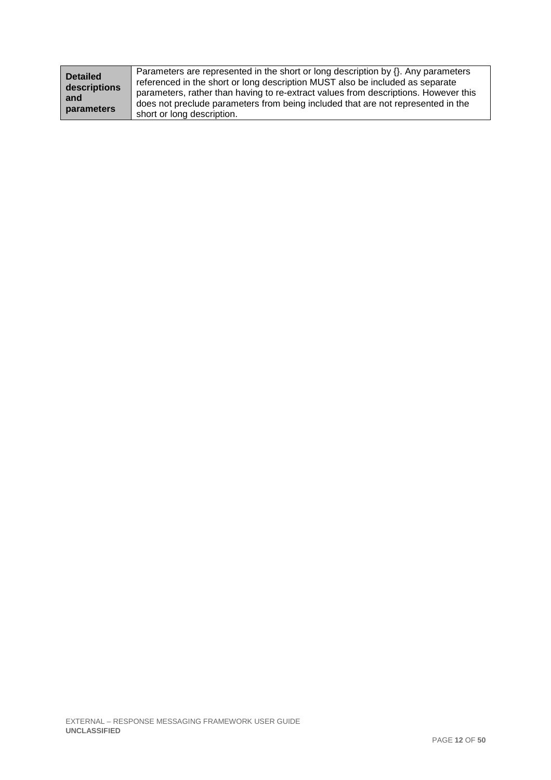| <b>Detailed</b>     | Parameters are represented in the short or long description by $\{ \}$ . Any parameters                                                                                                                                                                  |
|---------------------|----------------------------------------------------------------------------------------------------------------------------------------------------------------------------------------------------------------------------------------------------------|
| descriptions<br>and | referenced in the short or long description MUST also be included as separate<br>parameters, rather than having to re-extract values from descriptions. However this<br>does not preclude parameters from being included that are not represented in the |
| parameters          | short or long description.                                                                                                                                                                                                                               |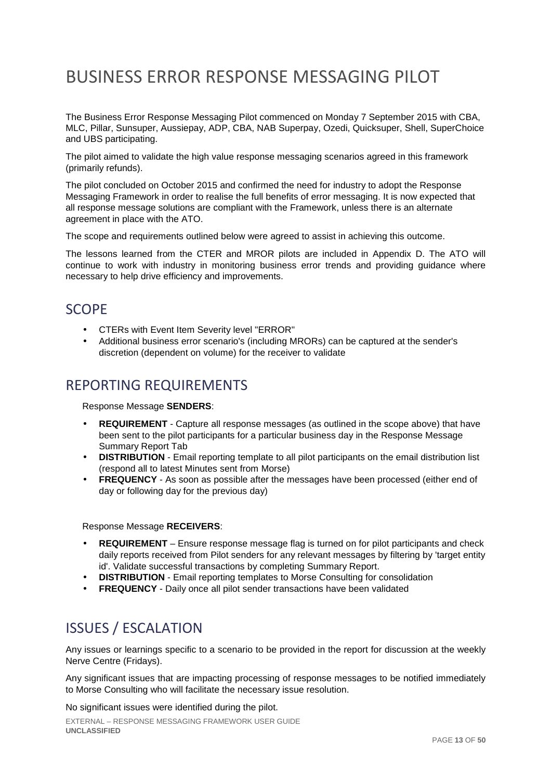# BUSINESS ERROR RESPONSE MESSAGING PILOT

The Business Error Response Messaging Pilot commenced on Monday 7 September 2015 with CBA, MLC, Pillar, Sunsuper, Aussiepay, ADP, CBA, NAB Superpay, Ozedi, Quicksuper, Shell, SuperChoice and UBS participating.

The pilot aimed to validate the high value response messaging scenarios agreed in this framework (primarily refunds).

The pilot concluded on October 2015 and confirmed the need for industry to adopt the Response Messaging Framework in order to realise the full benefits of error messaging. It is now expected that all response message solutions are compliant with the Framework, unless there is an alternate agreement in place with the ATO.

The scope and requirements outlined below were agreed to assist in achieving this outcome.

The lessons learned from the CTER and MROR pilots are included in Appendix D. The ATO will continue to work with industry in monitoring business error trends and providing guidance where necessary to help drive efficiency and improvements.

## SCOPE

- CTERs with Event Item Severity level "ERROR"
- Additional business error scenario's (including MRORs) can be captured at the sender's discretion (dependent on volume) for the receiver to validate

## REPORTING REQUIREMENTS

Response Message **SENDERS**:

- **REQUIREMENT** Capture all response messages (as outlined in the scope above) that have been sent to the pilot participants for a particular business day in the Response Message Summary Report Tab
- **DISTRIBUTION** Email reporting template to all pilot participants on the email distribution list (respond all to latest Minutes sent from Morse)
- **FREQUENCY** As soon as possible after the messages have been processed (either end of day or following day for the previous day)

Response Message **RECEIVERS**:

- **REQUIREMENT** Ensure response message flag is turned on for pilot participants and check daily reports received from Pilot senders for any relevant messages by filtering by 'target entity id'. Validate successful transactions by completing Summary Report.
- **DISTRIBUTION**  Email reporting templates to Morse Consulting for consolidation
- **FREQUENCY** Daily once all pilot sender transactions have been validated

## ISSUES / ESCALATION

Any issues or learnings specific to a scenario to be provided in the report for discussion at the weekly Nerve Centre (Fridays).

Any significant issues that are impacting processing of response messages to be notified immediately to Morse Consulting who will facilitate the necessary issue resolution.

No significant issues were identified during the pilot.

EXTERNAL – RESPONSE MESSAGING FRAMEWORK USER GUIDE **UNCLASSIFIED**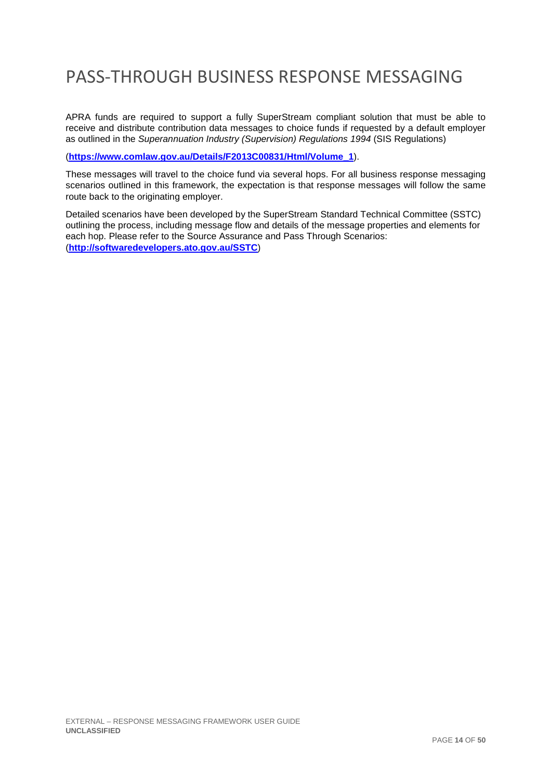# PASS-THROUGH BUSINESS RESPONSE MESSAGING

APRA funds are required to support a fully SuperStream compliant solution that must be able to receive and distribute contribution data messages to choice funds if requested by a default employer as outlined in the Superannuation Industry (Supervision) Regulations 1994 (SIS Regulations)

(**https://www.comlaw.gov.au/Details/F2013C00831/Html/Volume\_1**).

These messages will travel to the choice fund via several hops. For all business response messaging scenarios outlined in this framework, the expectation is that response messages will follow the same route back to the originating employer.

Detailed scenarios have been developed by the SuperStream Standard Technical Committee (SSTC) outlining the process, including message flow and details of the message properties and elements for each hop. Please refer to the Source Assurance and Pass Through Scenarios: (**http://softwaredevelopers.ato.gov.au/SSTC**)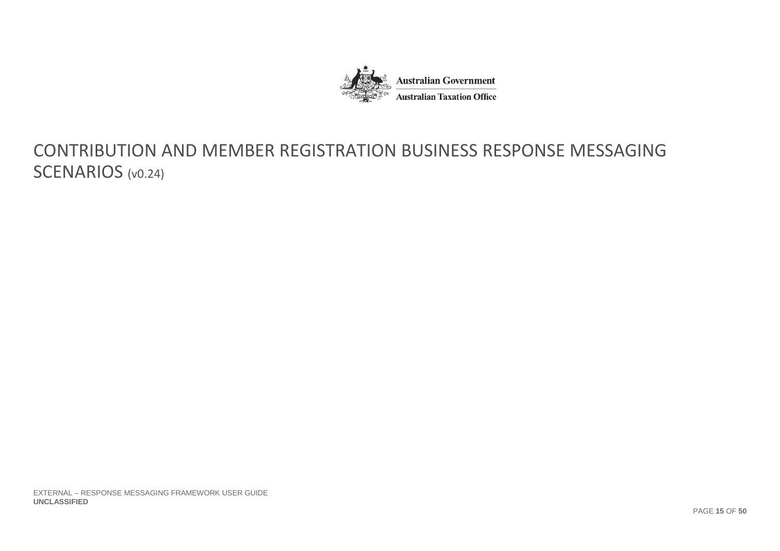

# CONTRIBUTION AND MEMBER REGISTRATION BUSINESS RESPONSE MESSAGING SCENARIOS (v0.24)

EXTERNAL – RESPONSE MESSAGING FRAMEWORK USER GUIDE **UNCLASSIFIED**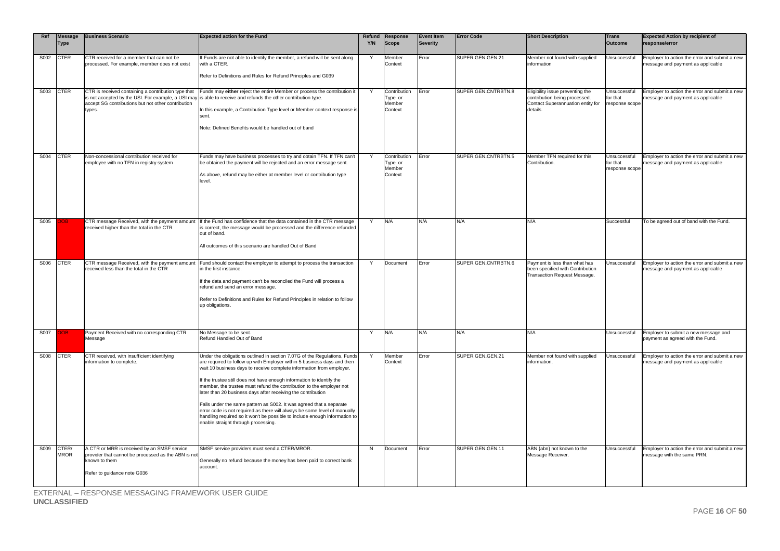| Ref  | <b>Message</b><br><b>Type</b> | <b>Business Scenario</b>                                                                                                                                                  | <b>Expected action for the Fund</b>                                                                                                                                                                                                                                                                                                                                                                                                                                                                                                                                                                                                                                                                                    | Y/N | Refund Response<br><b>Scope</b>              | <b>Event Item</b><br><b>Severity</b> | <b>Error Code</b>   | <b>Short Description</b>                                                                                           | <b>Trans</b><br><b>Outcome</b>             | <b>Expected Action by recipient of</b><br>response/error                           |
|------|-------------------------------|---------------------------------------------------------------------------------------------------------------------------------------------------------------------------|------------------------------------------------------------------------------------------------------------------------------------------------------------------------------------------------------------------------------------------------------------------------------------------------------------------------------------------------------------------------------------------------------------------------------------------------------------------------------------------------------------------------------------------------------------------------------------------------------------------------------------------------------------------------------------------------------------------------|-----|----------------------------------------------|--------------------------------------|---------------------|--------------------------------------------------------------------------------------------------------------------|--------------------------------------------|------------------------------------------------------------------------------------|
| S002 | <b>CTER</b>                   | CTR received for a member that can not be<br>processed. For example, member does not exist                                                                                | If Funds are not able to identify the member, a refund will be sent along<br>with a CTER.<br>Refer to Definitions and Rules for Refund Principles and G039                                                                                                                                                                                                                                                                                                                                                                                                                                                                                                                                                             | Y   | Member<br>Context                            | Error                                | SUPER.GEN.GEN.21    | Member not found with supplied<br>information                                                                      | Unsuccessful                               | Employer to action the error and submit a new<br>message and payment as applicable |
| S003 | <b>CTER</b>                   | CTR is received containing a contribution type that<br>is not accepted by the USI. For example, a USI may<br>accept SG contributions but not other contribution<br>types. | Funds may either reject the entire Member or process the contribution it<br>is able to receive and refunds the other contribution type.<br>In this example, a Contribution Type level or Member context response is<br>sent.<br>Note: Defined Benefits would be handled out of band                                                                                                                                                                                                                                                                                                                                                                                                                                    |     | Contribution<br>Type or<br>Member<br>Context | Error                                | SUPER.GEN.CNTRBTN.8 | Eligibility issue preventing the<br>contribution being processed.<br>Contact Superannuation entity for<br>details. | Unsuccessful<br>for that<br>response scope | Employer to action the error and submit a new<br>message and payment as applicable |
| S004 | <b>CTER</b>                   | Non-concessional contribution received for<br>employee with no TFN in registry system                                                                                     | Funds may have business processes to try and obtain TFN. If TFN can't<br>be obtained the payment will be rejected and an error message sent.<br>As above, refund may be either at member level or contribution type<br>level.                                                                                                                                                                                                                                                                                                                                                                                                                                                                                          | Y   | Contribution<br>Type or<br>Member<br>Context | Error                                | SUPER.GEN.CNTRBTN.5 | Member TFN required for this<br>Contribution.                                                                      | Unsuccessful<br>for that<br>response scope | Employer to action the error and submit a new<br>message and payment as applicable |
| S005 |                               | received higher than the total in the CTR                                                                                                                                 | CTR message Received, with the payment amount If the Fund has confidence that the data contained in the CTR message<br>is correct, the message would be processed and the difference refunded<br>out of band.<br>All outcomes of this scenario are handled Out of Band                                                                                                                                                                                                                                                                                                                                                                                                                                                 | Y   | N/A                                          | N/A                                  | N/A                 | N/A                                                                                                                | Successful                                 | To be agreed out of band with the Fund.                                            |
| S006 | <b>CTER</b>                   | CTR message Received, with the payment amount<br>received less than the total in the CTR                                                                                  | Fund should contact the employer to attempt to process the transaction<br>in the first instance.<br>If the data and payment can't be reconciled the Fund will process a<br>refund and send an error message.<br>Refer to Definitions and Rules for Refund Principles in relation to follow<br>up obligations.                                                                                                                                                                                                                                                                                                                                                                                                          | Y   | Document                                     | Error                                | SUPER.GEN.CNTRBTN.6 | Payment is less than what has<br>been specified with Contribution<br>Transaction Request Message.                  | Unsuccessful                               | Employer to action the error and submit a new<br>message and payment as applicable |
| S007 |                               | Payment Received with no corresponding CTR<br>Message                                                                                                                     | No Message to be sent.<br>Refund Handled Out of Band                                                                                                                                                                                                                                                                                                                                                                                                                                                                                                                                                                                                                                                                   | Y   | N/A                                          | N/A                                  | N/A                 | N/A                                                                                                                | Unsuccessful                               | Employer to submit a new message and<br>payment as agreed with the Fund.           |
| S008 | <b>CTER</b>                   | CTR received, with insufficient identifying<br>information to complete.                                                                                                   | Under the obligations outlined in section 7.07G of the Regulations, Funds<br>are required to follow up with Employer within 5 business days and then<br>wait 10 business days to receive complete information from employer.<br>If the trustee still does not have enough information to identify the<br>member, the trustee must refund the contribution to the employer not<br>later than 20 business days after receiving the contribution<br>Falls under the same pattern as S002. It was agreed that a separate<br>error code is not required as there will always be some level of manually<br>handling required so it won't be possible to include enough information to<br>enable straight through processing. |     | Member<br>Context                            | Error                                | SUPER.GEN.GEN.21    | Member not found with supplied<br>information                                                                      | Unsuccessful                               | Employer to action the error and submit a new<br>message and payment as applicable |
| S009 | CTER/<br><b>MROR</b>          | A CTR or MRR is received by an SMSF service<br>provider that cannot be processed as the ABN is not<br>known to them<br>Refer to guidance note G036                        | SMSF service providers must send a CTER/MROR.<br>Generally no refund because the money has been paid to correct bank<br>account.                                                                                                                                                                                                                                                                                                                                                                                                                                                                                                                                                                                       | N   | Document                                     | Error                                | SUPER.GEN.GEN.11    | ABN {abn} not known to the<br>Message Receiver.                                                                    | Unsuccessful                               | Employer to action the error and submit a new<br>message with the same PRN.        |

EXTERNAL – RESPONSE MESSAGING FRAMEWORK USER GUIDE

**UNCLASSIFIED**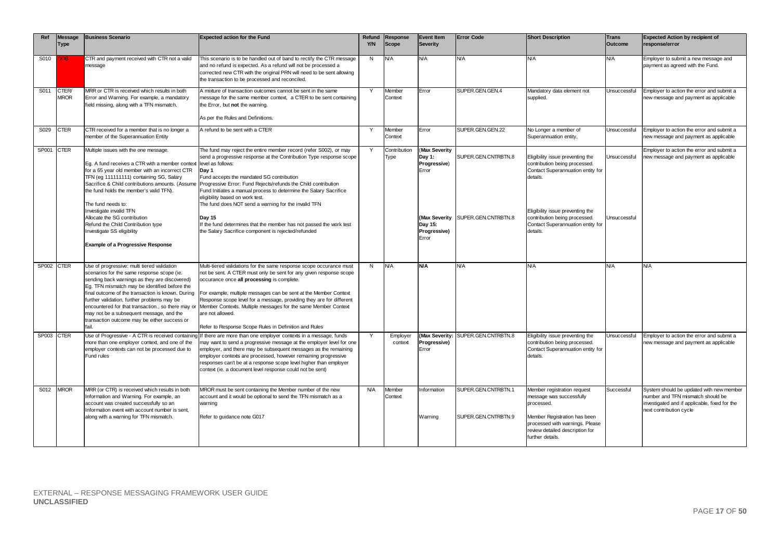| Ref        | Message<br><b>Type</b> | <b>Business Scenario</b>                                                                                                                                                                                                                                                                                                                                                                                                                                   | <b>Expected action for the Fund</b>                                                                                                                                                                                                                                                                                                                                                                                                                                                                                                                                                                                                  | Y/N          | Refund Response<br>Scope | <b>Event Item</b><br><b>Severity</b>                                                 | <b>Error Code</b>                                         | <b>Short Description</b>                                                                                                                                                                                                                 | <b>Trans</b><br><b>Outcome</b> | <b>Expected Action by recipient of</b><br>response/error                                                                                                  |
|------------|------------------------|------------------------------------------------------------------------------------------------------------------------------------------------------------------------------------------------------------------------------------------------------------------------------------------------------------------------------------------------------------------------------------------------------------------------------------------------------------|--------------------------------------------------------------------------------------------------------------------------------------------------------------------------------------------------------------------------------------------------------------------------------------------------------------------------------------------------------------------------------------------------------------------------------------------------------------------------------------------------------------------------------------------------------------------------------------------------------------------------------------|--------------|--------------------------|--------------------------------------------------------------------------------------|-----------------------------------------------------------|------------------------------------------------------------------------------------------------------------------------------------------------------------------------------------------------------------------------------------------|--------------------------------|-----------------------------------------------------------------------------------------------------------------------------------------------------------|
| S010       | 300                    | CTR and payment received with CTR not a valid<br>message                                                                                                                                                                                                                                                                                                                                                                                                   | This scenario is to be handled out of band to rectify the CTR message<br>and no refund is expected. As a refund will not be processed a<br>corrected new CTR with the original PRN will need to be sent allowing<br>the transaction to be processed and reconciled.                                                                                                                                                                                                                                                                                                                                                                  | N            | <b>N/A</b>               | <b>N/A</b>                                                                           | <b>N/A</b>                                                | N/A                                                                                                                                                                                                                                      | <b>N/A</b>                     | Employer to submit a new message and<br>payment as agreed with the Fund.                                                                                  |
| S011       | CTER/<br><b>MROR</b>   | MRR or CTR is received which results in both<br>Error and Warning. For example, a mandatory<br>field missing, along with a TFN mismatch.                                                                                                                                                                                                                                                                                                                   | A mixture of transaction outcomes cannot be sent in the same<br>message for the same member context, a CTER to be sent containing<br>the Error, but not the warning.<br>As per the Rules and Definitions.                                                                                                                                                                                                                                                                                                                                                                                                                            | Y            | Member<br>Context        | Error                                                                                | SUPER.GEN.GEN.4                                           | Mandatory data element not<br>supplied.                                                                                                                                                                                                  | Unsuccessful                   | Employer to action the error and submit a<br>new message and payment as applicable                                                                        |
| S029       | <b>CTER</b>            | CTR received for a member that is no longer a<br>member of the Superannuation Entity                                                                                                                                                                                                                                                                                                                                                                       | A refund to be sent with a CTER                                                                                                                                                                                                                                                                                                                                                                                                                                                                                                                                                                                                      | $\mathbf{v}$ | Member<br>Context        | Error                                                                                | SUPER.GEN.GEN.22                                          | No Longer a member of<br>Superannuation entity.                                                                                                                                                                                          | Unsuccessful                   | Employer to action the error and submit a<br>new message and payment as applicable                                                                        |
| SP001      | <b>CTER</b>            | Multiple issues with the one message.<br>Eg. A fund receives a CTR with a member context level as follows:<br>for a 65 year old member with an incorrect CTR<br>TFN (eg 111111111) containing SG, Salary<br>the fund holds the member's valid TFN).<br>The fund needs to:<br>Investigate invalid TFN<br>Allocate the SG contribution<br>Refund the Child Contribution type<br>Investigate SS eligibility<br><b>Example of a Progressive Response</b>       | The fund may reject the entire member record (refer S002), or may<br>send a progressive response at the Contribution Type response scope<br>Day 1<br>Fund accepts the mandated SG contribution<br>Sacrifice & Child contributions amounts. (Assume Progressive Error: Fund Rejects/refunds the Child contribution<br>Fund Initiates a manual process to determine the Salary Sacrifice<br>eligibility based on work test.<br>The fund does NOT send a warning for the invalid TFN<br>Dav <sub>15</sub><br>If the fund determines that the member has not passed the work test<br>the Salary Sacrifice component is rejected/refunded | Y            | Contribution<br>Type     | (Max Severity<br>Day 1:<br>Progressive)<br>Error<br>Day 15:<br>Progressive)<br>Error | SUPER.GEN.CNTRBTN.8<br>(Max Severity SUPER.GEN.CNTRBTN.8) | Eligibility issue preventing the<br>contribution being processed.<br>Contact Superannuation entity for<br>details.<br>Eligibility issue preventing the<br>contribution being processed.<br>Contact Superannuation entity for<br>details. | Unsuccessful<br>Unsuccessful   | Employer to action the error and submit a<br>new message and payment as applicable                                                                        |
| SP002 CTER |                        | Use of progressive: multi tiered validation<br>scenarios for the same response scope (ie.<br>sending back warnings as they are discovered)<br>Eq. TFN mismatch may be identified before the<br>final outcome of the transaction is known. During<br>further validation, further problems may be<br>encountered for that transaction., so there may or<br>may not be a subsequent message, and the<br>transaction outcome may be either success or<br>fail. | Multi-tiered validations for the same response scope occurance must<br>not be sent. A CTER must only be sent for any given response scope<br>occurance once all processing is complete.<br>For example, multiple messages can be sent at the Member Context<br>Response scope level for a message, providing they are for different<br>Member Contexts. Multiple messages for the same Member Context<br>are not allowed.<br>Refer to Response Scope Rules in Definition and Rules                                                                                                                                                   | N            | <b>N/A</b>               | N/A                                                                                  | <b>N/A</b>                                                | N/A                                                                                                                                                                                                                                      | N/A                            | <b>N/A</b>                                                                                                                                                |
| SP003 CTER |                        | Use of Progressive - A CTR is received containing<br>more than one employer context, and one of the<br>employer contexts can not be processed due to<br>Fund rules                                                                                                                                                                                                                                                                                         | If there are more than one employer contexts in a message, funds<br>may want to send a progressive message at the employer level for one<br>employer, and there may be subsequent messages as the remaining<br>employer contexts are processed, however remaining progressive<br>responses can't be at a response scope level higher than employer<br>context (ie. a document level response could not be sent)                                                                                                                                                                                                                      |              | Employer<br>context      | (Max Severity:<br>Progressive)<br>Error                                              | SUPER.GEN.CNTRBTN.8                                       | Eligibility issue preventing the<br>contribution being processed.<br>Contact Superannuation entity for<br>details.                                                                                                                       | Unsuccessful                   | Employer to action the error and submit a<br>new message and payment as applicable                                                                        |
| S012       | <b>MROR</b>            | MRR (or CTR) is received which results in both<br>Information and Warning. For example, an<br>account was created successfully so an<br>Information event with account number is sent,<br>along with a warning for TFN mismatch.                                                                                                                                                                                                                           | MROR must be sent containing the Member number of the new<br>account and it would be optional to send the TFN mismatch as a<br>warning<br>Refer to guidance note G017                                                                                                                                                                                                                                                                                                                                                                                                                                                                | <b>N/A</b>   | Member<br>Context        | Information<br>Warning                                                               | SUPER.GEN.CNTRBTN.1<br>SUPER.GEN.CNTRBTN.9                | Member registration request<br>message was successfully<br>processed.<br>Member Registration has been<br>processed with warnings. Please<br>review detailed description for<br>further details.                                          | Successful                     | System should be updated with new member<br>number and TFN mismatch should be<br>investigated and if applicable, fixed for the<br>next contribution cycle |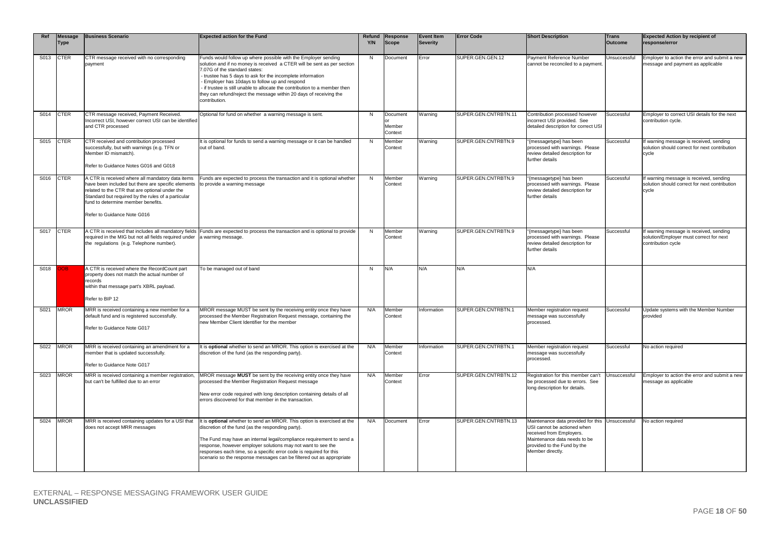| Ref  | <b>Message</b><br><b>Type</b> | <b>Business Scenario</b>                                                                                                                                                                                                                                                            | <b>Expected action for the Fund</b>                                                                                                                                                                                                                                                                                                                                                                                                                       | Y/N | Refund Response<br><b>Scope</b> | <b>Event Item</b><br><b>Severity</b> | <b>Error Code</b>    | <b>Short Description</b>                                                                                                                                                                      | <b>Trans</b><br>Outcome | <b>Expected Action by recipient of</b><br>response/error                                                 |
|------|-------------------------------|-------------------------------------------------------------------------------------------------------------------------------------------------------------------------------------------------------------------------------------------------------------------------------------|-----------------------------------------------------------------------------------------------------------------------------------------------------------------------------------------------------------------------------------------------------------------------------------------------------------------------------------------------------------------------------------------------------------------------------------------------------------|-----|---------------------------------|--------------------------------------|----------------------|-----------------------------------------------------------------------------------------------------------------------------------------------------------------------------------------------|-------------------------|----------------------------------------------------------------------------------------------------------|
| S013 | <b>CTER</b>                   | CTR message received with no corresponding<br>payment                                                                                                                                                                                                                               | Funds would follow up where possible with the Employer sending<br>solution and if no money is received a CTER will be sent as per section<br>7.07G of the standard states:<br>trustee has 5 days to ask for the incomplete information<br>Employer has 10days to follow up and respond<br>if trustee is still unable to allocate the contribution to a member then<br>they can refund/reject the message within 20 days of receiving the<br>contribution. | N   | Document                        | Error                                | SUPER.GEN.GEN.12     | Payment Reference Number<br>cannot be reconciled to a payment.                                                                                                                                | Unsuccessful            | Employer to action the error and submit a new<br>message and payment as applicable                       |
| S014 | <b>CTER</b>                   | CTR message received, Payment Received.<br>ncorrect USI, however correct USI can be identified<br>and CTR processed                                                                                                                                                                 | Optional for fund on whether a warning message is sent.                                                                                                                                                                                                                                                                                                                                                                                                   | N   | Document<br>Member<br>Context   | Warning                              | SUPER.GEN.CNTRBTN.11 | Contribution processed however<br>incorrect USI provided. See<br>detailed description for correct USI                                                                                         | Successful              | Employer to correct USI details for the next<br>contribution cycle.                                      |
| S015 | <b>CTER</b>                   | CTR received and contribution processed<br>successfully, but with warnings (e.g. TFN or<br>Member ID mismatch).<br>Refer to Guidance Notes G016 and G018                                                                                                                            | t is optional for funds to send a warning message or it can be handled<br>out of band                                                                                                                                                                                                                                                                                                                                                                     | N   | Member<br>Context               | Warning                              | SUPER.GEN.CNTRBTN.9  | "{messagetype} has been<br>processed with warnings. Please<br>review detailed description for<br>further details                                                                              | Successful              | If warning message is received, sending<br>solution should correct for next contribution<br>cycle        |
| S016 | <b>CTER</b>                   | A CTR is received where all mandatory data items<br>have been included but there are specific elements<br>related to the CTR that are optional under the<br>Standard but required by the rules of a particular<br>fund to determine member benefits.<br>Refer to Guidance Note G016 | Funds are expected to process the transaction and it is optional whether<br>to provide a warning message                                                                                                                                                                                                                                                                                                                                                  | N   | Member<br>Context               | Warning                              | SUPER.GEN.CNTRBTN.9  | {messagetype} has been<br>processed with warnings. Please<br>review detailed description for<br>further details                                                                               | Successful              | If warning message is received, sending<br>solution should correct for next contribution<br>cycle        |
| S017 | <b>CTER</b>                   | A CTR is received that includes all mandatory fields<br>required in the MIG but not all fields required under<br>the regulations (e.g. Telephone number).                                                                                                                           | Funds are expected to process the transaction and is optional to provide<br>a warning message.                                                                                                                                                                                                                                                                                                                                                            | N   | Member<br>Context               | Warning                              | SUPER.GEN.CNTRBTN.9  | "{messagetype} has been<br>processed with warnings. Please<br>review detailed description for<br>further details                                                                              | Successful              | If warning message is received, sending<br>solution/Employer must correct for next<br>contribution cycle |
| S018 |                               | A CTR is received where the RecordCount part<br>property does not match the actual number of<br>records<br>within that message part's XBRL payload.<br>Refer to BIP 12                                                                                                              | To be managed out of band                                                                                                                                                                                                                                                                                                                                                                                                                                 | N   | N/A                             | N/A                                  | N/A                  | N/A                                                                                                                                                                                           |                         |                                                                                                          |
| S021 | <b>MROR</b>                   | MRR is received containing a new member for a<br>default fund and is registered successfully.<br>Refer to Guidance Note G017                                                                                                                                                        | MROR message MUST be sent by the receiving entity once they have<br>processed the Member Registration Request message, containing the<br>hew Member Client Identifier for the member                                                                                                                                                                                                                                                                      | N/A | Member<br>Context               | Information                          | SUPER.GEN.CNTRBTN.1  | Member registration request<br>message was successfully<br>processed.                                                                                                                         | Successful              | Update systems with the Member Number<br>provided                                                        |
| S022 | <b>MROR</b>                   | MRR is received containing an amendment for a<br>member that is updated successfully.<br>Refer to Guidance Note G017                                                                                                                                                                | It is optional whether to send an MROR. This option is exercised at the<br>discretion of the fund (as the responding party).                                                                                                                                                                                                                                                                                                                              | N/A | Member<br>Context               | Information                          | SUPER.GEN.CNTRBTN.1  | Member registration request<br>message was successfully<br>processed.                                                                                                                         | Successful              | No action required                                                                                       |
| S023 | <b>MROR</b>                   | MRR is received containing a member registration,<br>but can't be fulfilled due to an error                                                                                                                                                                                         | MROR message MUST be sent by the receiving entity once they have<br>processed the Member Registration Request message<br>New error code required with long description containing details of all<br>errors discovered for that member in the transaction.                                                                                                                                                                                                 | N/A | Member<br>Context               | Error                                | SUPER.GEN.CNTRBTN.12 | Registration for this member can't<br>be processed due to errors. See<br>long description for details.                                                                                        | Unsuccessful            | Employer to action the error and submit a new<br>message as applicable                                   |
| S024 | <b>MROR</b>                   | MRR is received containing updates for a USI that<br>does not accept MRR messages                                                                                                                                                                                                   | It is optional whether to send an MROR. This option is exercised at the<br>discretion of the fund (as the responding party).<br>The Fund may have an internal legal/compliance requirement to send a<br>response, however employer solutions may not want to see the<br>responses each time, so a specific error code is required for this<br>scenario so the response messages can be filtered out as appropriate                                        | N/A | Document                        | Error                                | SUPER.GEN.CNTRBTN.13 | Maintenance data provided for this Unsuccessful<br>USI cannot be actioned when<br>received from Employers.<br>Maintenance data needs to be<br>provided to the Fund by the<br>Member directly. |                         | No action required                                                                                       |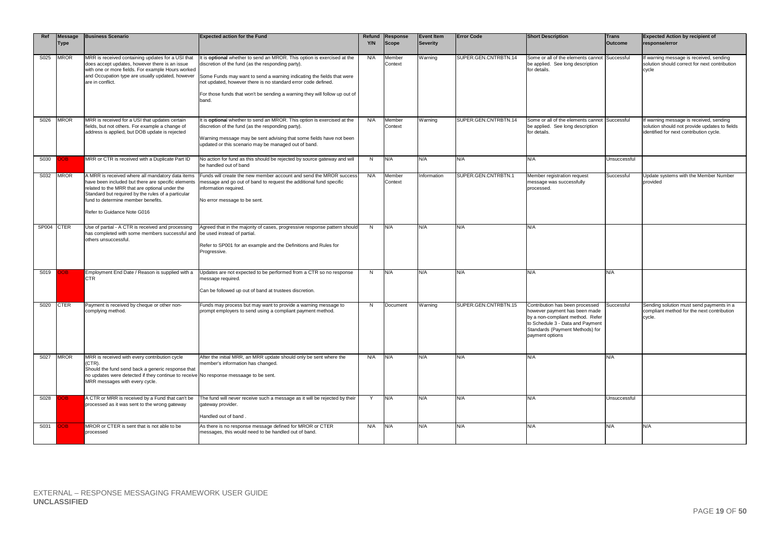| Ref        | <b>Message</b><br><b>Type</b> | <b>Business Scenario</b>                                                                                                                                                                                                                                                            | <b>Expected action for the Fund</b>                                                                                                                                                                                                                                                                                                                                  | Y/N | Refund Response<br><b>Scope</b> | <b>Event Item</b><br>Severity | <b>Error Code</b>    | <b>Short Description</b>                                                                                                                                                                       | <b>Trans</b><br>Outcome | <b>Expected Action by recipient of</b><br>response/error                                                                            |
|------------|-------------------------------|-------------------------------------------------------------------------------------------------------------------------------------------------------------------------------------------------------------------------------------------------------------------------------------|----------------------------------------------------------------------------------------------------------------------------------------------------------------------------------------------------------------------------------------------------------------------------------------------------------------------------------------------------------------------|-----|---------------------------------|-------------------------------|----------------------|------------------------------------------------------------------------------------------------------------------------------------------------------------------------------------------------|-------------------------|-------------------------------------------------------------------------------------------------------------------------------------|
| S025       | MROR                          | MRR is received containing updates for a USI that<br>does accept updates, however there is an issue<br>with one or more fields. For example Hours worked<br>and Occupation type are usually updated, however<br>are in conflict.                                                    | It is <b>optional</b> whether to send an MROR. This option is exercised at the<br>discretion of the fund (as the responding party).<br>Some Funds may want to send a warning indicating the fields that were<br>not updated, however there is no standard error code defined.<br>For those funds that won't be sending a warning they will follow up out of<br>band. | N/A | Member<br>Context               | Warning                       | SUPER.GEN.CNTRBTN.14 | Some or all of the elements cannot<br>be applied. See long description<br>for details.                                                                                                         | Successful              | If warning message is received, sending<br>solution should correct for next contribution<br>cycle                                   |
| S026       | <b>MROR</b>                   | MRR is received for a USI that updates certain<br>fields, but not others. For example a change of<br>address is applied, but DOB update is rejected                                                                                                                                 | It is optional whether to send an MROR. This option is exercised at the<br>discretion of the fund (as the responding party).<br>Warning message may be sent advising that some fields have not been<br>updated or this scenario may be managed out of band.                                                                                                          | N/A | Member<br>Context               | Warning                       | SUPER.GEN.CNTRBTN.14 | Some or all of the elements cannot<br>be applied. See long description<br>for details.                                                                                                         | Successful              | If warning message is received, sending<br>solution should not provide updates to fields<br>identified for next contribution cycle. |
| S030       | OВ                            | MRR or CTR is received with a Duplicate Part ID                                                                                                                                                                                                                                     | No action for fund as this should be rejected by source gateway and will<br>be handled out of band                                                                                                                                                                                                                                                                   | N   | N/A                             | N/A                           | N/A                  | N/A                                                                                                                                                                                            | Unsuccessful            |                                                                                                                                     |
| S032       | <b>MROR</b>                   | A MRR is received where all mandatory data items<br>have been included but there are specific elements<br>related to the MRR that are optional under the<br>Standard but required by the rules of a particular<br>fund to determine member benefits.<br>Refer to Guidance Note G016 | Funds will create the new member account and send the MROR success<br>message and go out of band to request the additional fund specific<br>information required.<br>No error message to be sent.                                                                                                                                                                    | N/A | Member<br>Context               | Information                   | SUPER.GEN.CNTRBTN.1  | Member registration request<br>message was successfully<br>processed.                                                                                                                          | Successful              | Update systems with the Member Number<br>provided                                                                                   |
| SP004 CTER |                               | Use of partial - A CTR is received and processing<br>has completed with some members successful and be used instead of partial.<br>others unsuccessful.                                                                                                                             | Agreed that in the majority of cases, progressive response pattern should<br>Refer to SP001 for an example and the Definitions and Rules for<br>Progressive.                                                                                                                                                                                                         | N   | N/A                             | N/A                           | N/A                  | N/A                                                                                                                                                                                            |                         |                                                                                                                                     |
| S019       |                               | Employment End Date / Reason is supplied with a<br>CTR                                                                                                                                                                                                                              | Updates are not expected to be performed from a CTR so no response<br>message required.<br>Can be followed up out of band at trustees discretion.                                                                                                                                                                                                                    | N   | N/A                             | N/A                           | N/A                  | N/A                                                                                                                                                                                            | N/A                     |                                                                                                                                     |
| S020       | <b>CTER</b>                   | Payment is received by cheque or other non-<br>complying method.                                                                                                                                                                                                                    | Funds may process but may want to provide a warning message to<br>prompt employers to send using a compliant payment method.                                                                                                                                                                                                                                         | N   | Document                        | Warning                       | SUPER.GEN.CNTRBTN.15 | Contribution has been processed<br>however payment has been made<br>by a non-compliant method. Refer<br>to Schedule 3 - Data and Payment<br>Standards (Payment Methods) for<br>payment options | Successful              | Sending solution must send payments in a<br>compliant method for the next contribution<br>cycle.                                    |
| S027       | <b>MROR</b>                   | MRR is received with every contribution cycle<br>(CTR).<br>Should the fund send back a generic response that<br>no updates were detected if they continue to receive No response messaage to be sent.<br>MRR messages with every cycle.                                             | After the initial MRR, an MRR update should only be sent where the<br>member's information has changed.                                                                                                                                                                                                                                                              | N/A | N/A                             | N/A                           | N/A                  | N/A                                                                                                                                                                                            | N/A                     |                                                                                                                                     |
| S028       | ЮB.                           | A CTR or MRR is received by a Fund that can't be<br>processed as it was sent to the wrong gateway                                                                                                                                                                                   | The fund will never receive such a message as it will be rejected by their<br>gateway provider.<br>Handled out of band                                                                                                                                                                                                                                               | Y   | N/A                             | N/A                           | N/A                  | N/A                                                                                                                                                                                            | Unsuccessful            |                                                                                                                                     |
| S031       |                               | MROR or CTER is sent that is not able to be<br>processed                                                                                                                                                                                                                            | As there is no response message defined for MROR or CTER<br>messages, this would need to be handled out of band.                                                                                                                                                                                                                                                     | N/A | N/A                             | N/A                           | N/A                  | N/A                                                                                                                                                                                            | N/A                     | N/A                                                                                                                                 |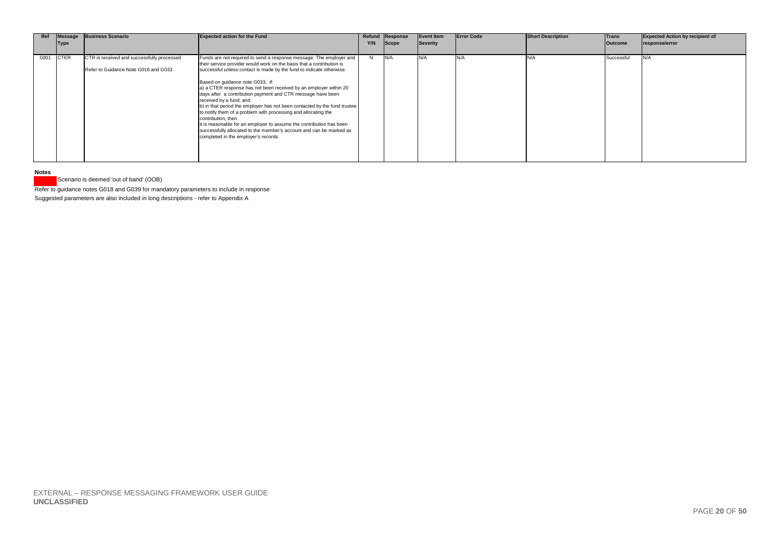| Ref  | Message<br><b>Type</b> | <b>Business Scenario</b>                                                           | <b>Expected action for the Fund</b>                                                                                                                                                                                                                                                                                                                                                                                                                                                                                                                                                                                                                                                                                                                                                 | Y/N | Refund Response<br>Scope | <b>Event Item</b><br>Severity | <b>Error Code</b> | <b>Short Description</b> | <b>Trans</b><br><b>Outcome</b> | <b>Expected Action by recipient of</b><br>response/error |
|------|------------------------|------------------------------------------------------------------------------------|-------------------------------------------------------------------------------------------------------------------------------------------------------------------------------------------------------------------------------------------------------------------------------------------------------------------------------------------------------------------------------------------------------------------------------------------------------------------------------------------------------------------------------------------------------------------------------------------------------------------------------------------------------------------------------------------------------------------------------------------------------------------------------------|-----|--------------------------|-------------------------------|-------------------|--------------------------|--------------------------------|----------------------------------------------------------|
| S001 | <b>CTER</b>            | CTR is received and successfully processed<br>Refer to Guidance Note G016 and G033 | Funds are not required to send a response message. The employer and<br>their service provider would work on the basis that a contribution is<br>successful unless contact is made by the fund to indicate otherwise.<br>Based on quidance note G033, if:<br>a) a CTER response has not been received by an employer within 20<br>days after a contribution payment and CTR message have been<br>received by a fund; and<br>b) in that period the employer has not been contacted by the fund trustee<br>to notify them of a problem with processing and allocating the<br>contribution, then<br>it is reasonable for an employer to assume the contribution has been<br>successfully allocated to the member's account and can be marked as<br>completed in the employer's records. | N   |                          | N/A                           |                   |                          | Successful                     | N/A                                                      |

**Notes**

Scenario is deemed 'out of band' (OOB)

Refer to guidance notes G018 and G039 for mandatory parameters to include in response

Suggested parameters are also included in long descriptions - refer to Appendix A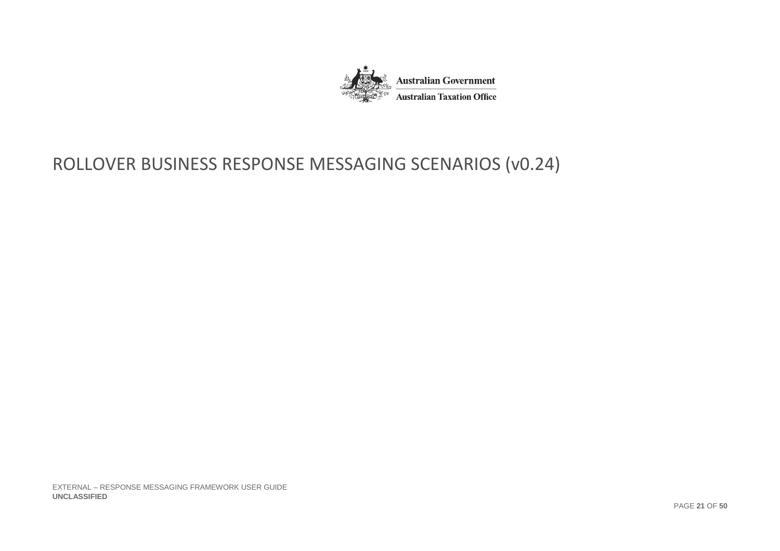

# ROLLOVER BUSINESS RESPONSE MESSAGING SCENARIOS (v0.24)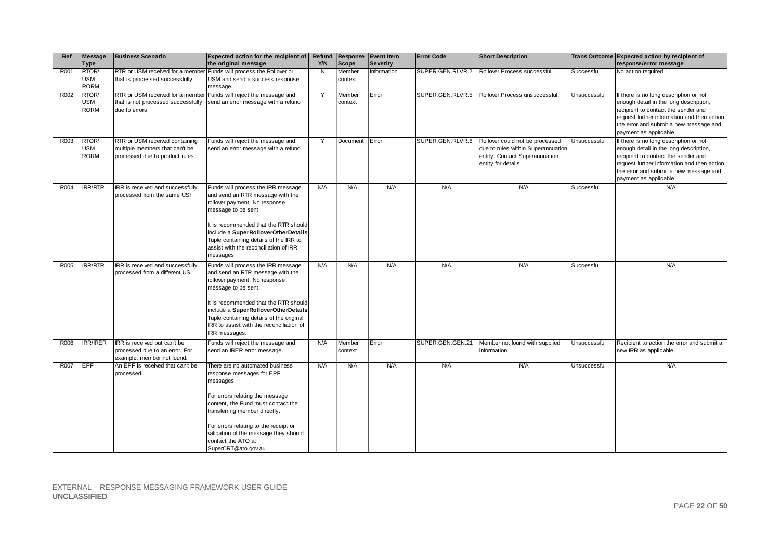| Ref  | Message            | <b>Business Scenario</b>                                           | Expected action for the recipient of Refund                                     |                |              | Response Event Item | <b>Error Code</b> | <b>Short Description</b>                                             |              | Trans Outcome Expected action by recipient of                                 |
|------|--------------------|--------------------------------------------------------------------|---------------------------------------------------------------------------------|----------------|--------------|---------------------|-------------------|----------------------------------------------------------------------|--------------|-------------------------------------------------------------------------------|
|      | Type               |                                                                    | the original message                                                            | Y/N            | <b>Scope</b> | <b>Severity</b>     |                   |                                                                      |              | response/error message                                                        |
| R001 | RTOR/              | RTR or USM received for a member                                   | Funds will process the Rollover or                                              | $\overline{N}$ | Member       | Information         | SUPER.GEN.RLVR.2  | Rollover Process successful.                                         | Successful   | No action required                                                            |
|      | USM<br><b>RORM</b> | that is processed successfully.                                    | JSM and send a success response                                                 |                | context      |                     |                   |                                                                      |              |                                                                               |
| R002 | RTOR/              |                                                                    | message.<br>RTR or USM received for a member Funds will reject the message and  | Y              | Member       | Error               | SUPER.GEN.RLVR.5  | Rollover Process unsuccessful.                                       | Unsuccessful | If there is no long description or not                                        |
|      | USM                | that is not processed successfully                                 | send an error message with a refund                                             |                | context      |                     |                   |                                                                      |              | enough detail in the long description,                                        |
|      | <b>RORM</b>        | due to errors                                                      |                                                                                 |                |              |                     |                   |                                                                      |              | recipient to contact the sender and                                           |
|      |                    |                                                                    |                                                                                 |                |              |                     |                   |                                                                      |              | request further information and then action                                   |
|      |                    |                                                                    |                                                                                 |                |              |                     |                   |                                                                      |              | the error and submit a new message and                                        |
|      |                    |                                                                    |                                                                                 |                |              |                     |                   |                                                                      |              | payment as applicable                                                         |
| R003 | RTOR/              | RTR or USM received containing                                     | Funds will reject the message and                                               | Y              | Document     | Error               | SUPER.GEN.RLVR.6  | Rollover could not be processed                                      | Unsuccessful | If there is no long description or not                                        |
|      | USM<br><b>RORM</b> | multiple members that can't be<br>processed due to product rules   | send an error message with a refund                                             |                |              |                     |                   | due to rules within Superannuation<br>entity. Contact Superannuation |              | enough detail in the long description,<br>recipient to contact the sender and |
|      |                    |                                                                    |                                                                                 |                |              |                     |                   | entity for details.                                                  |              | request further information and then action                                   |
|      |                    |                                                                    |                                                                                 |                |              |                     |                   |                                                                      |              | the error and submit a new message and                                        |
|      |                    |                                                                    |                                                                                 |                |              |                     |                   |                                                                      |              | payment as applicable                                                         |
| R004 | <b>IRR/RTR</b>     | IRR is received and successfully                                   | Funds will process the IRR message                                              | N/A            | N/A          | N/A                 | N/A               | N/A                                                                  | Successful   | N/A                                                                           |
|      |                    | processed from the same USI                                        | and send an RTR message with the                                                |                |              |                     |                   |                                                                      |              |                                                                               |
|      |                    |                                                                    | rollover payment. No response<br>message to be sent.                            |                |              |                     |                   |                                                                      |              |                                                                               |
|      |                    |                                                                    |                                                                                 |                |              |                     |                   |                                                                      |              |                                                                               |
|      |                    |                                                                    | t is recommended that the RTR should                                            |                |              |                     |                   |                                                                      |              |                                                                               |
|      |                    |                                                                    | include a SuperRolloverOtherDetails                                             |                |              |                     |                   |                                                                      |              |                                                                               |
|      |                    |                                                                    | Tuple containing details of the IRR to                                          |                |              |                     |                   |                                                                      |              |                                                                               |
|      |                    |                                                                    | assist with the reconciliation of IRR                                           |                |              |                     |                   |                                                                      |              |                                                                               |
|      |                    |                                                                    | messages.                                                                       |                |              |                     |                   |                                                                      |              |                                                                               |
| R005 | <b>IRR/RTR</b>     | IRR is received and successfully<br>processed from a different USI | Funds will process the IRR message<br>and send an RTR message with the          | N/A            | N/A          | N/A                 | N/A               | N/A                                                                  | Successful   | N/A                                                                           |
|      |                    |                                                                    | rollover payment. No response                                                   |                |              |                     |                   |                                                                      |              |                                                                               |
|      |                    |                                                                    | message to be sent.                                                             |                |              |                     |                   |                                                                      |              |                                                                               |
|      |                    |                                                                    |                                                                                 |                |              |                     |                   |                                                                      |              |                                                                               |
|      |                    |                                                                    | t is recommended that the RTR should                                            |                |              |                     |                   |                                                                      |              |                                                                               |
|      |                    |                                                                    | include a SuperRolloverOtherDetails<br>Tuple containing details of the original |                |              |                     |                   |                                                                      |              |                                                                               |
|      |                    |                                                                    | IRR to assist with the reconciliation of                                        |                |              |                     |                   |                                                                      |              |                                                                               |
|      |                    |                                                                    | IRR messages.                                                                   |                |              |                     |                   |                                                                      |              |                                                                               |
| R006 | <b>IRR/IRER</b>    | IRR is received but can't be                                       | Funds will reject the message and                                               | N/A            | Member       | Error               | SUPER.GEN.GEN.21  | Member not found with supplied                                       | Unsuccessful | Recipient to action the error and submit a                                    |
|      |                    | processed due to an error. For                                     | send an IRER error message.                                                     |                | context      |                     |                   | nformation                                                           |              | new IRR as applicable                                                         |
|      |                    | example, member not found.                                         |                                                                                 |                |              |                     |                   |                                                                      |              |                                                                               |
| R007 | EPF                | An EPF is received that can't be                                   | There are no automated business                                                 | N/A            | N/A          | N/A                 | N/A               | N/A                                                                  | Unsuccessful | N/A                                                                           |
|      |                    | processed                                                          | response messages for EPF<br>messages.                                          |                |              |                     |                   |                                                                      |              |                                                                               |
|      |                    |                                                                    |                                                                                 |                |              |                     |                   |                                                                      |              |                                                                               |
|      |                    |                                                                    | For errors relating the message                                                 |                |              |                     |                   |                                                                      |              |                                                                               |
|      |                    |                                                                    | content, the Fund must contact the                                              |                |              |                     |                   |                                                                      |              |                                                                               |
|      |                    |                                                                    | transferring member directly.                                                   |                |              |                     |                   |                                                                      |              |                                                                               |
|      |                    |                                                                    | For errors relating to the receipt or                                           |                |              |                     |                   |                                                                      |              |                                                                               |
|      |                    |                                                                    | validation of the message they should                                           |                |              |                     |                   |                                                                      |              |                                                                               |
|      |                    |                                                                    | contact the ATO at                                                              |                |              |                     |                   |                                                                      |              |                                                                               |
|      |                    |                                                                    | SuperCRT@ato.gov.au                                                             |                |              |                     |                   |                                                                      |              |                                                                               |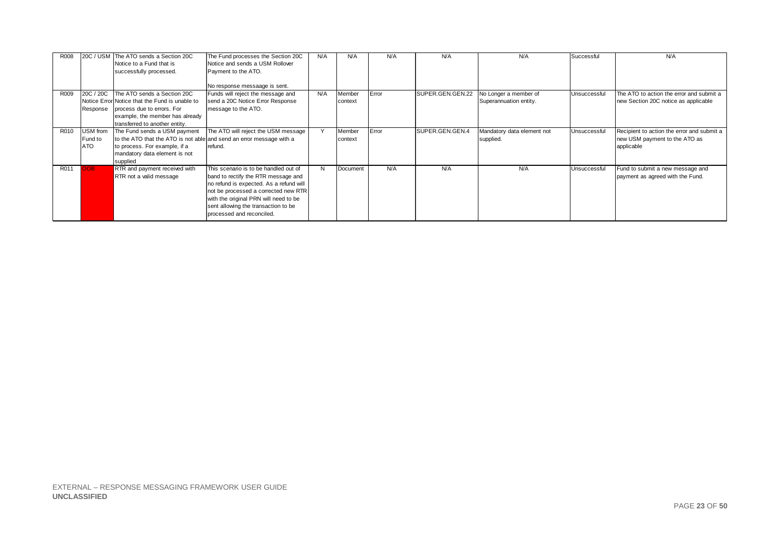| R008 |            | 20C / USM The ATO sends a Section 20C                                | The Fund processes the Section 20C      | N/A    | N/A      | N/A   | N/A              | N/A                        | Successful   | N/A                                        |
|------|------------|----------------------------------------------------------------------|-----------------------------------------|--------|----------|-------|------------------|----------------------------|--------------|--------------------------------------------|
|      |            | Notice to a Fund that is                                             | Notice and sends a USM Rollover         |        |          |       |                  |                            |              |                                            |
|      |            | successfully processed.                                              | Payment to the ATO.                     |        |          |       |                  |                            |              |                                            |
|      |            |                                                                      |                                         |        |          |       |                  |                            |              |                                            |
|      |            |                                                                      | No response messaage is sent.           |        |          |       |                  |                            |              |                                            |
| R009 |            | 20C / 20C The ATO sends a Section 20C                                | Funds will reject the message and       | N/A    | Member   | Error | SUPER.GEN.GEN.22 | No Longer a member of      | Unsuccessful | The ATO to action the error and submit a   |
|      |            | Notice Error Notice that the Fund is unable to                       | send a 20C Notice Error Response        |        | context  |       |                  | Superannuation entity.     |              | new Section 20C notice as applicable       |
|      | Response   | process due to errors. For                                           | message to the ATO.                     |        |          |       |                  |                            |              |                                            |
|      |            | example, the member has already                                      |                                         |        |          |       |                  |                            |              |                                            |
|      |            | transferred to another entity.                                       |                                         |        |          |       |                  |                            |              |                                            |
| R010 | USM from   | The Fund sends a USM payment                                         | The ATO will reject the USM message     | $\vee$ | Member   | Error | SUPER.GEN.GEN.4  | Mandatory data element not | Unsuccessful | Recipient to action the error and submit a |
|      | Fund to    | to the ATO that the ATO is not able and send an error message with a |                                         |        | context  |       |                  | supplied.                  |              | new USM payment to the ATO as              |
|      | <b>ATO</b> | to process. For example, if a                                        | refund.                                 |        |          |       |                  |                            |              | applicable                                 |
|      |            | mandatory data element is not                                        |                                         |        |          |       |                  |                            |              |                                            |
|      |            | supplied                                                             |                                         |        |          |       |                  |                            |              |                                            |
| R011 | <b>OOB</b> | RTR and payment received with                                        | This scenario is to be handled out of   | N      | Document | N/A   | N/A              | N/A                        | Unsuccessful | Fund to submit a new message and           |
|      |            | RTR not a valid message                                              | band to rectify the RTR message and     |        |          |       |                  |                            |              | payment as agreed with the Fund.           |
|      |            |                                                                      | no refund is expected. As a refund will |        |          |       |                  |                            |              |                                            |
|      |            |                                                                      | not be processed a corrected new RTR    |        |          |       |                  |                            |              |                                            |
|      |            |                                                                      | with the original PRN will need to be   |        |          |       |                  |                            |              |                                            |
|      |            |                                                                      | sent allowing the transaction to be     |        |          |       |                  |                            |              |                                            |
|      |            |                                                                      | processed and reconciled.               |        |          |       |                  |                            |              |                                            |
|      |            |                                                                      |                                         |        |          |       |                  |                            |              |                                            |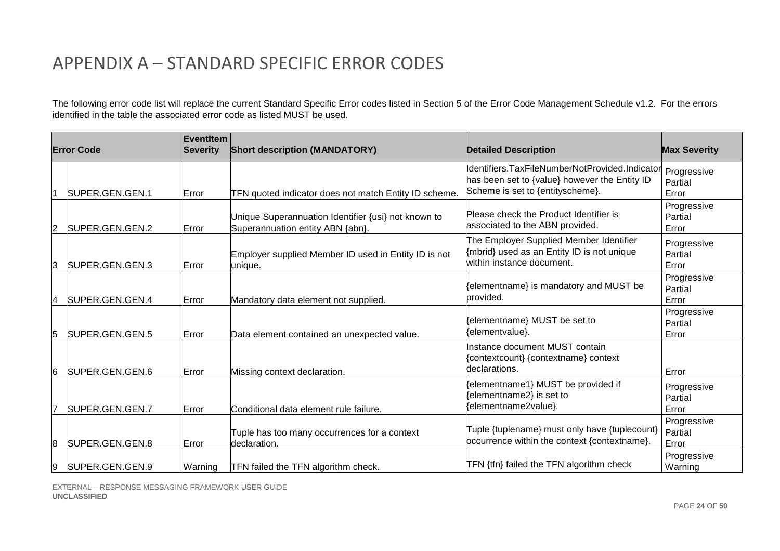# APPENDIX A – STANDARD SPECIFIC ERROR CODES

The following error code list will replace the current Standard Specific Error codes listed in Section 5 of the Error Code Management Schedule v1.2. For the errors identified in the table the associated error code as listed MUST be used.

|   | <b>Error Code</b> | EventItem<br><b>Severity</b> | <b>Short description (MANDATORY)</b>                                                    | <b>Detailed Description</b>                                                                                                        | <b>Max Severity</b>             |
|---|-------------------|------------------------------|-----------------------------------------------------------------------------------------|------------------------------------------------------------------------------------------------------------------------------------|---------------------------------|
|   | SUPER.GEN.GEN.1   | Error                        | TFN quoted indicator does not match Entity ID scheme.                                   | dentifiers.TaxFileNumberNotProvided.Indicator<br>has been set to {value} however the Entity ID<br>Scheme is set to {entityscheme}. | Progressive<br>Partial<br>Error |
| 2 | SUPER.GEN.GEN.2   | Error                        | Unique Superannuation Identifier {usi} not known to<br>Superannuation entity ABN {abn}. | Please check the Product Identifier is<br>associated to the ABN provided.                                                          | Progressive<br>Partial<br>Error |
| 3 | SUPER.GEN.GEN.3   | Error                        | Employer supplied Member ID used in Entity ID is not<br>unique.                         | The Employer Supplied Member Identifier<br>{mbrid} used as an Entity ID is not unique<br>within instance document.                 | Progressive<br>Partial<br>Error |
| 4 | SUPER.GEN.GEN.4   | Error                        | Mandatory data element not supplied.                                                    | {elementname} is mandatory and MUST be<br>provided.                                                                                | Progressive<br>Partial<br>Error |
| 5 | SUPER.GEN.GEN.5   | Error                        | Data element contained an unexpected value.                                             | (elementname) MUST be set to<br>{elementvalue}.                                                                                    | Progressive<br>Partial<br>Error |
| 6 | SUPER.GEN.GEN.6   | Error                        | Missing context declaration.                                                            | Instance document MUST contain<br>{contextcount} {contextname} context<br>declarations.                                            | Error                           |
| 7 | SUPER.GEN.GEN.7   | Error                        | Conditional data element rule failure.                                                  | {elementname1} MUST be provided if<br>{elementname2} is set to<br>{elementname2value}.                                             | Progressive<br>Partial<br>Error |
| 8 | SUPER.GEN.GEN.8   | Error                        | Tuple has too many occurrences for a context<br>declaration.                            | Tuple {tuplename} must only have {tuplecount}<br>occurrence within the context {contextname}.                                      | Progressive<br>Partial<br>Error |
| 9 | SUPER.GEN.GEN.9   | Warning                      | TFN failed the TFN algorithm check.                                                     | TFN {tfn} failed the TFN algorithm check                                                                                           | Progressive<br>Warning          |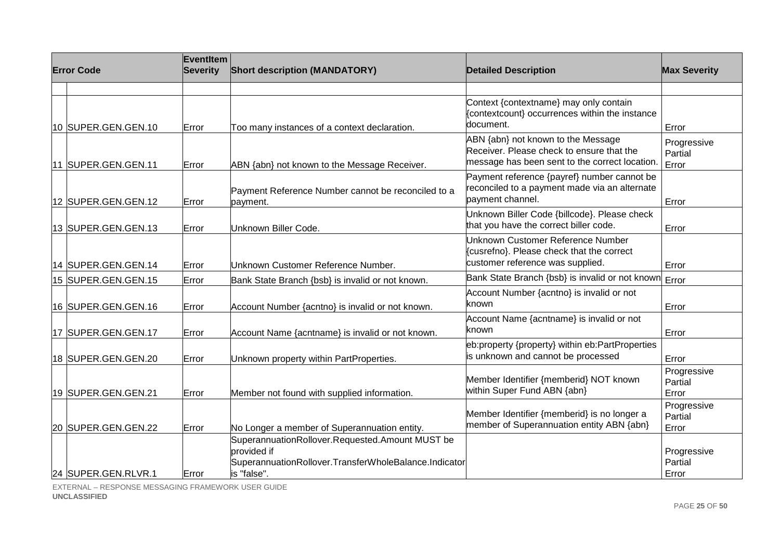| <b>Error Code</b>    | EventItem<br><b>Severity</b> | <b>Short description (MANDATORY)</b>                                                                                                   | <b>Detailed Description</b>                                                                                                      | <b>Max Severity</b>             |
|----------------------|------------------------------|----------------------------------------------------------------------------------------------------------------------------------------|----------------------------------------------------------------------------------------------------------------------------------|---------------------------------|
| 10 SUPER.GEN.GEN.10  | Error                        | Too many instances of a context declaration.                                                                                           | Context {contextname} may only contain<br>{contextcount} occurrences within the instance<br>document.                            | Error                           |
| 11 SUPER.GEN.GEN.11  | Error                        | ABN {abn} not known to the Message Receiver.                                                                                           | ABN {abn} not known to the Message<br>Receiver. Please check to ensure that the<br>message has been sent to the correct location | Progressive<br>Partial<br>Error |
| 12 SUPER.GEN.GEN.12  | Error                        | Payment Reference Number cannot be reconciled to a<br>payment.                                                                         | Payment reference {payref} number cannot be<br>reconciled to a payment made via an alternate<br>payment channel.                 | Error                           |
| 13 SUPER.GEN.GEN.13  | Error                        | Unknown Biller Code.                                                                                                                   | Unknown Biller Code {billcode}. Please check<br>that you have the correct biller code.                                           | Error                           |
| 14 SUPER.GEN.GEN.14  | Error                        | Unknown Customer Reference Number.                                                                                                     | Unknown Customer Reference Number<br>{cusrefno}. Please check that the correct<br>customer reference was supplied.               | Error                           |
| 15 SUPER.GEN.GEN.15  | Error                        | Bank State Branch {bsb} is invalid or not known.                                                                                       | Bank State Branch {bsb} is invalid or not known                                                                                  | Error                           |
| 16 SUPER.GEN.GEN.16  | Error                        | Account Number {acntno} is invalid or not known.                                                                                       | Account Number {acntno} is invalid or not<br>known                                                                               | Error                           |
| 17  SUPER.GEN.GEN.17 | Error                        | Account Name {acntname} is invalid or not known.                                                                                       | Account Name {acntname} is invalid or not<br>known                                                                               | Error                           |
| 18 SUPER.GEN.GEN.20  | Error                        | Unknown property within PartProperties.                                                                                                | eb:property {property} within eb:PartProperties<br>is unknown and cannot be processed                                            | Error                           |
| 19 SUPER.GEN.GEN.21  | Error                        | Member not found with supplied information.                                                                                            | Member Identifier {memberid} NOT known<br>within Super Fund ABN {abn}                                                            | Progressive<br>Partial<br>Error |
| 20 SUPER.GEN.GEN.22  | Error                        | No Longer a member of Superannuation entity.                                                                                           | Member Identifier {memberid} is no longer a<br>member of Superannuation entity ABN {abn}                                         | Progressive<br>Partial<br>Error |
| 24 SUPER.GEN.RLVR.1  | Error                        | SuperannuationRollover.Requested.Amount MUST be<br>provided if<br>SuperannuationRollover.TransferWholeBalance.Indicator<br>is "false". |                                                                                                                                  | Progressive<br>Partial<br>Error |

EXTERNAL – RESPONSE MESSAGING FRAMEWORK USER GUIDE **UNCLASSIFIED**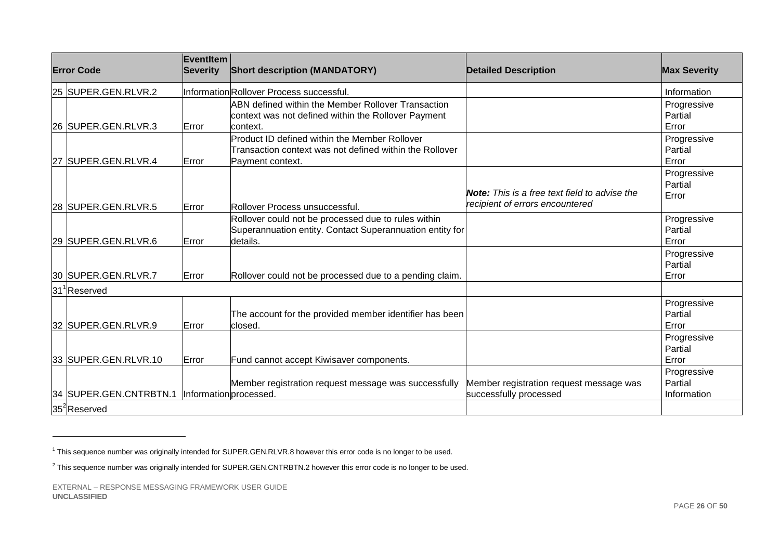| <b>Error Code</b>        | EventItem<br><b>Severity</b> | <b>Short description (MANDATORY)</b>                                                                                          | <b>Detailed Description</b>                                                             | <b>Max Severity</b>                   |
|--------------------------|------------------------------|-------------------------------------------------------------------------------------------------------------------------------|-----------------------------------------------------------------------------------------|---------------------------------------|
| 25 SUPER.GEN.RLVR.2      |                              | InformationRollover Process successful.                                                                                       |                                                                                         | Information                           |
| 26 SUPER.GEN.RLVR.3      | Error                        | <b>ABN defined within the Member Rollover Transaction</b><br>context was not defined within the Rollover Payment<br>lcontext. |                                                                                         | Progressive<br>Partial<br>Error       |
| 27 SUPER.GEN.RLVR.4      | Error                        | Product ID defined within the Member Rollover<br>Transaction context was not defined within the Rollover<br>Payment context.  |                                                                                         | Progressive<br>Partial<br>Error       |
| 28 SUPER.GEN.RLVR.5      | Error                        | Rollover Process unsuccessful.                                                                                                | <b>Note:</b> This is a free text field to advise the<br>recipient of errors encountered | Progressive<br>Partial<br>Error       |
| 29 SUPER.GEN.RLVR.6      | Error                        | Rollover could not be processed due to rules within<br>Superannuation entity. Contact Superannuation entity for<br>details.   |                                                                                         | Progressive<br>Partial<br>Error       |
| 30 SUPER.GEN.RLVR.7      | Error                        | Rollover could not be processed due to a pending claim.                                                                       |                                                                                         | Progressive<br>Partial<br>Error       |
| 31 Reserved              |                              |                                                                                                                               |                                                                                         |                                       |
| 32 SUPER.GEN.RLVR.9      | Error                        | The account for the provided member identifier has been<br>lclosed.                                                           |                                                                                         | Progressive<br>Partial<br>Error       |
| 33 SUPER.GEN.RLVR.10     | Error                        | Fund cannot accept Kiwisaver components.                                                                                      |                                                                                         | Progressive<br>Partial<br>Error       |
| 34 SUPER.GEN.CNTRBTN.1   | Information processed.       | Member registration request message was successfully                                                                          | Member registration request message was<br>successfully processed                       | Progressive<br>Partial<br>Information |
| 35 <sup>2</sup> Reserved |                              |                                                                                                                               |                                                                                         |                                       |

<sup>&</sup>lt;sup>1</sup> This sequence number was originally intended for SUPER.GEN.RLVR.8 however this error code is no longer to be used.

<sup>&</sup>lt;sup>2</sup> This sequence number was originally intended for SUPER.GEN.CNTRBTN.2 however this error code is no longer to be used.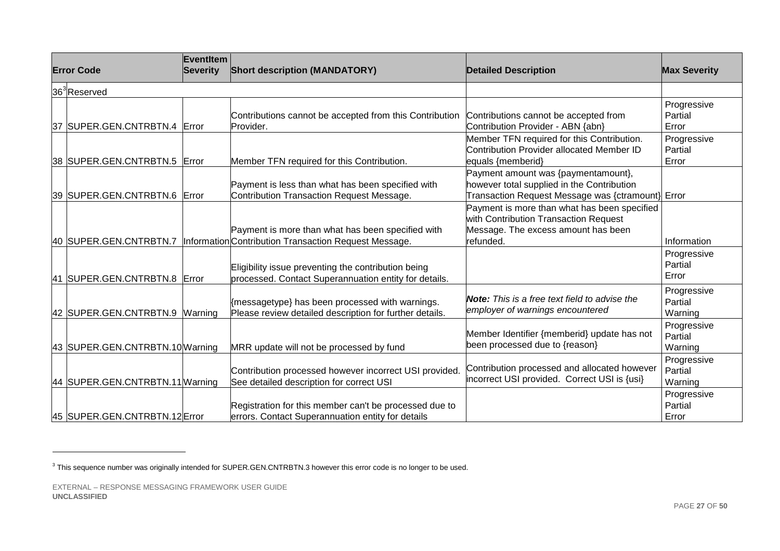| <b>Error Code</b>               | Eventitem<br><b>Severity</b> | <b>Short description (MANDATORY)</b>                                                                         | <b>Detailed Description</b>                                                                                                               | <b>Max Severity</b>               |
|---------------------------------|------------------------------|--------------------------------------------------------------------------------------------------------------|-------------------------------------------------------------------------------------------------------------------------------------------|-----------------------------------|
| 36 <sup>3</sup> Reserved        |                              |                                                                                                              |                                                                                                                                           |                                   |
| 37 SUPER.GEN.CNTRBTN.4 Error    |                              | Contributions cannot be accepted from this Contribution<br>Provider.                                         | Contributions cannot be accepted from<br>Contribution Provider - ABN {abn}                                                                | Progressive<br>Partial<br>Error   |
| 38 SUPER.GEN.CNTRBTN.5          | Error                        | Member TFN required for this Contribution.                                                                   | Member TFN required for this Contribution.<br>Contribution Provider allocated Member ID<br>equals {memberid}                              | Progressive<br>Partial<br>Error   |
| 39 SUPER.GEN.CNTRBTN.6 Error    |                              | Payment is less than what has been specified with<br>Contribution Transaction Request Message.               | Payment amount was {paymentamount},<br>however total supplied in the Contribution<br>Transaction Request Message was {ctramount} Error    |                                   |
| 40 SUPER.GEN.CNTRBTN.7          |                              | Payment is more than what has been specified with<br>Information Contribution Transaction Request Message.   | Payment is more than what has been specified<br>with Contribution Transaction Request<br>Message. The excess amount has been<br>refunded. | Information                       |
| 41 SUPER.GEN.CNTRBTN.8 Error    |                              | Eligibility issue preventing the contribution being<br>processed. Contact Superannuation entity for details. |                                                                                                                                           | Progressive<br>Partial<br>Error   |
| 42 SUPER.GEN.CNTRBTN.9 Warning  |                              | {messagetype} has been processed with warnings.<br>Please review detailed description for further details.   | <b>Note:</b> This is a free text field to advise the<br>employer of warnings encountered                                                  | Progressive<br>Partial<br>Warning |
| 43 SUPER.GEN.CNTRBTN.10 Warning |                              | MRR update will not be processed by fund                                                                     | Member Identifier {memberid} update has not<br>been processed due to {reason}                                                             | Progressive<br>Partial<br>Warning |
| 44 SUPER.GEN.CNTRBTN.11 Warning |                              | Contribution processed however incorrect USI provided.<br>See detailed description for correct USI           | Contribution processed and allocated however<br>incorrect USI provided. Correct USI is {usi}                                              | Progressive<br>Partial<br>Warning |
| 45 SUPER.GEN.CNTRBTN.12 Error   |                              | Registration for this member can't be processed due to<br>errors. Contact Superannuation entity for details  |                                                                                                                                           | Progressive<br>Partial<br>Error   |

<sup>&</sup>lt;sup>3</sup> This sequence number was originally intended for SUPER.GEN.CNTRBTN.3 however this error code is no longer to be used.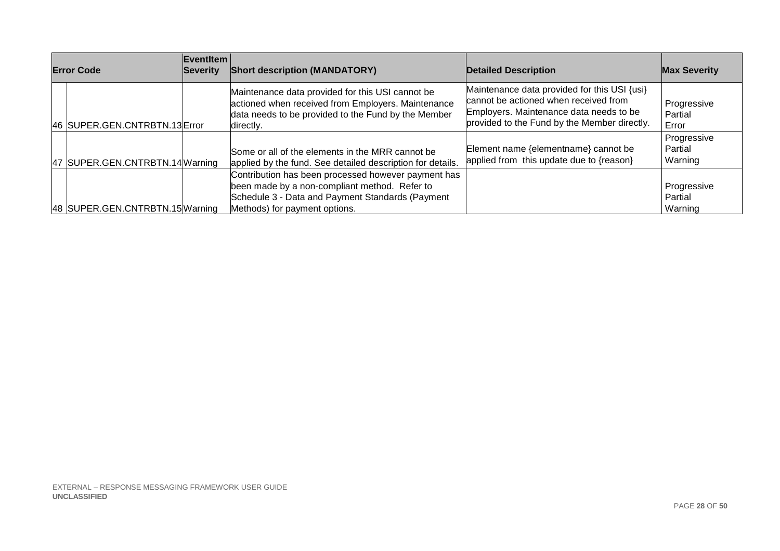| <b>Error Code</b>               | Eventitem<br>Severity | <b>Short description (MANDATORY)</b>                                                                                                                                                      | <b>Detailed Description</b>                                                                                                                                                      | <b>Max Severity</b>               |
|---------------------------------|-----------------------|-------------------------------------------------------------------------------------------------------------------------------------------------------------------------------------------|----------------------------------------------------------------------------------------------------------------------------------------------------------------------------------|-----------------------------------|
| 46 SUPER.GEN.CNTRBTN.13 Error   |                       | Maintenance data provided for this USI cannot be<br>actioned when received from Employers. Maintenance<br>data needs to be provided to the Fund by the Member<br>directly.                | Maintenance data provided for this USI {usi}<br>cannot be actioned when received from<br>Employers. Maintenance data needs to be<br>provided to the Fund by the Member directly. | Progressive<br>Partial<br>Error   |
| 47 SUPER.GEN.CNTRBTN.14 Warning |                       | Some or all of the elements in the MRR cannot be<br>applied by the fund. See detailed description for details.                                                                            | Element name {elementname} cannot be<br>applied from this update due to {reason}                                                                                                 | Progressive<br>Partial<br>Warning |
| 48 SUPER.GEN.CNTRBTN.15 Warning |                       | Contribution has been processed however payment has<br>been made by a non-compliant method. Refer to<br>Schedule 3 - Data and Payment Standards (Payment<br>Methods) for payment options. |                                                                                                                                                                                  | Progressive<br>Partial<br>Warning |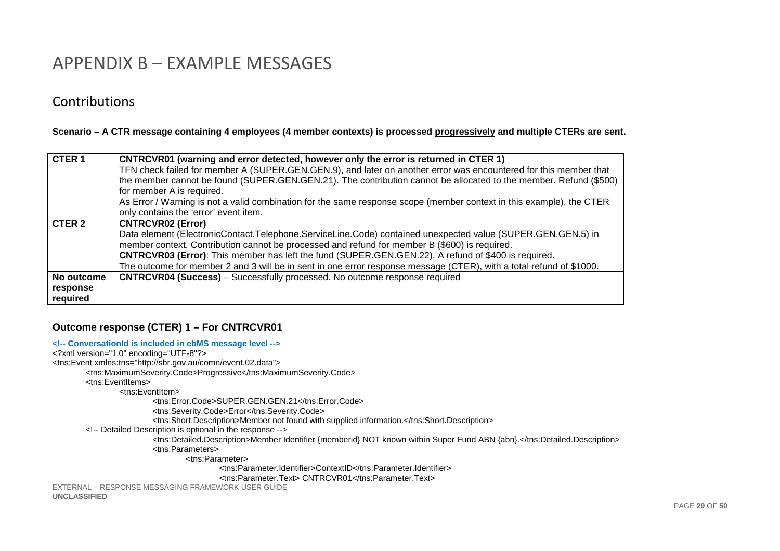# APPENDIX B – EXAMPLE MESSAGES

## **Contributions**

**UNCLASSIFIED** 

#### **Scenario – A CTR message containing 4 employees (4 member contexts) is processed progressively and multiple CTERs are sent.**

| CTER <sub>1</sub>                  | CNTRCVR01 (warning and error detected, however only the error is returned in CTER 1)                                 |  |  |  |
|------------------------------------|----------------------------------------------------------------------------------------------------------------------|--|--|--|
|                                    | TFN check failed for member A (SUPER.GEN.GEN.9), and later on another error was encountered for this member that     |  |  |  |
|                                    | the member cannot be found (SUPER.GEN.GEN.21). The contribution cannot be allocated to the member. Refund (\$500)    |  |  |  |
|                                    | for member A is required.                                                                                            |  |  |  |
|                                    | As Error / Warning is not a valid combination for the same response scope (member context in this example), the CTER |  |  |  |
|                                    | only contains the 'error' event item.                                                                                |  |  |  |
| CTER 2<br><b>CNTRCVR02 (Error)</b> |                                                                                                                      |  |  |  |
|                                    | Data element (ElectronicContact.Telephone.ServiceLine.Code) contained unexpected value (SUPER.GEN.GEN.5) in          |  |  |  |
|                                    | member context. Contribution cannot be processed and refund for member B (\$600) is required.                        |  |  |  |
|                                    | <b>CNTRCVR03 (Error):</b> This member has left the fund (SUPER.GEN.GEN.22). A refund of \$400 is required.           |  |  |  |
|                                    | The outcome for member 2 and 3 will be in sent in one error response message (CTER), with a total refund of \$1000.  |  |  |  |
| No outcome                         | <b>CNTRCVR04 (Success)</b> – Successfully processed. No outcome response required                                    |  |  |  |
| response                           |                                                                                                                      |  |  |  |
| required                           |                                                                                                                      |  |  |  |

#### **Outcome response (CTER) 1 – For CNTRCVR01**

#### **<!-- ConversationId is included in ebMS message level -->**

```
EXTERNAL – RESPONSE MESSAGING FRAMEWORK USER GUIDE <?xml version="1.0" encoding="UTF-8"?> 
<tns:Event xmlns:tns="http://sbr.gov.au/comn/event.02.data"> 
 <tns:MaximumSeverity.Code>Progressive</tns:MaximumSeverity.Code>  <tns:EventItems> 
 <tns:EventItem> 
 <tns:Error.Code>SUPER.GEN.GEN.21</tns:Error.Code>  <tns:Severity.Code>Error</tns:Severity.Code> 
 <tns:Short.Description>Member not found with supplied information.</tns:Short.Description>  <!-- Detailed Description is optional in the response --> 
 <tns:Detailed.Description>Member Identifier {memberid} NOT known within Super Fund ABN {abn}.</tns:Detailed.Description>  <tns:Parameters> 
 <tns:Parameter> 
 <tns:Parameter.Identifier>ContextID</tns:Parameter.Identifier>  <tns:Parameter.Text> CNTRCVR01</tns:Parameter.Text>
```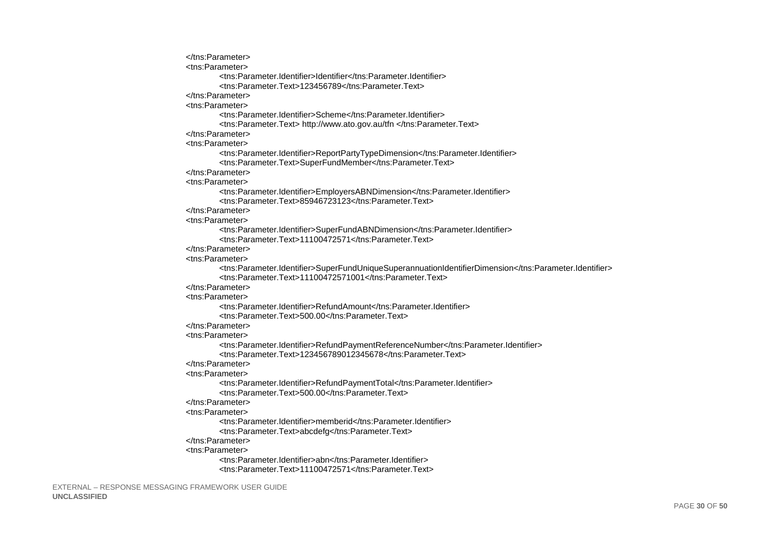```
</tns:Parameter>
<tns:Parameter>
        <tns:Parameter.Identifier>Identifier</tns:Parameter.Identifier>
        <tns:Parameter.Text>123456789</tns:Parameter.Text>
</tns:Parameter>
<tns:Parameter>
        <tns:Parameter.Identifier>Scheme</tns:Parameter.Identifier>
        <tns:Parameter.Text> http://www.ato.gov.au/tfn </tns:Parameter.Text>
</tns:Parameter>
<tns:Parameter>
        <tns:Parameter.Identifier>ReportPartyTypeDimension</tns:Parameter.Identifier>
        <tns:Parameter.Text>SuperFundMember</tns:Parameter.Text>
</tns:Parameter>
<tns:Parameter>
        <tns:Parameter.Identifier>EmployersABNDimension</tns:Parameter.Identifier>
        <tns:Parameter.Text>85946723123</tns:Parameter.Text>
</tns:Parameter>
<tns:Parameter>
        <tns:Parameter.Identifier>SuperFundABNDimension</tns:Parameter.Identifier>
        <tns:Parameter.Text>11100472571</tns:Parameter.Text>
</tns:Parameter>
<tns:Parameter>
        <tns:Parameter.Identifier>SuperFundUniqueSuperannuationIdentifierDimension</tns:Parameter.Identifier>
        <tns:Parameter Text>11100472571001</tns:Parameter Text>
</tns:Parameter>
<tns:Parameter>
        <tns:Parameter.Identifier>RefundAmount</tns:Parameter.Identifier>
        <tns:Parameter.Text>500.00</tns:Parameter.Text>
</tns:Parameter>
<tns:Parameter>
        <tns:Parameter.Identifier>RefundPaymentReferenceNumber</tns:Parameter.Identifier>
        <tns:Parameter.Text>123456789012345678</tns:Parameter.Text>
</tns:Parameter>
<tns:Parameter>
        <tns:Parameter.Identifier>RefundPaymentTotal</tns:Parameter.Identifier>
        <tns:Parameter Text>500 00</tns:Parameter Text>
</tns:Parameter>
<tns:Parameter>
        <tns:Parameter.Identifier>memberid</tns:Parameter.Identifier>
        <tns:Parameter.Text>abcdefg</tns:Parameter.Text>
</tns:Parameter>
<tns:Parameter>
        <tns:Parameter.Identifier>abn</tns:Parameter.Identifier>
        <tns:Parameter.Text>11100472571</tns:Parameter.Text>
```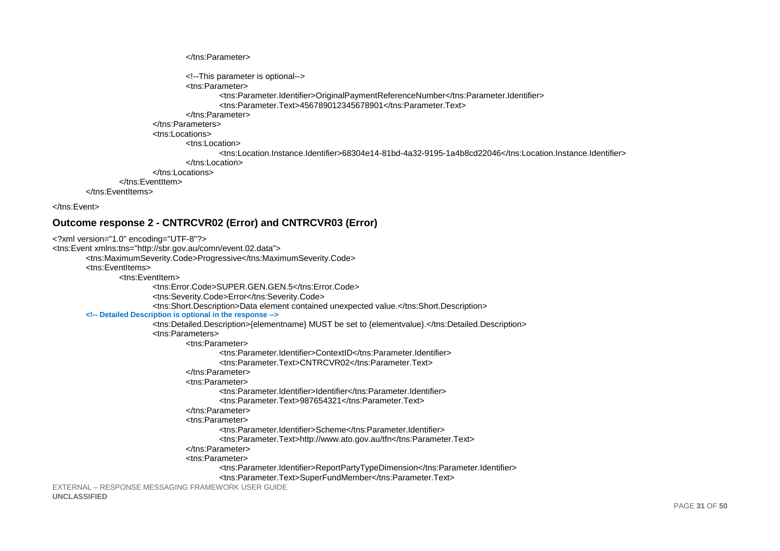```
</tns:Parameter>
                         <!--This parameter is optional-->
                         <tns:Parameter>
                                  <tns:Parameter.Identifier>OriginalPaymentReferenceNumber</tns:Parameter.Identifier>
                                  <tns:Parameter Text>456789012345678901</tns:Parameter Text>
                         </tns:Parameter>
                 </tns:Parameters>
                 <tns:Locations>
                         <tns:Location>
                                  <tns:Location.Instance.Identifier>68304e14-81bd-4a32-9195-1a4b8cd22046</tns:Location.Instance.Identifier>
                         \epsilon/tns:Location>
                 </tns:Locations>
        </tns:EventItem>
</tns:FventItems>
```
</tns:Event>

#### Outcome response 2 - CNTRCVR02 (Error) and CNTRCVR03 (Error)

```
<?xml version="1.0" encoding="UTF-8"?>
<tns:Event xmlns:tns="http://sbr.gov.au/comn/event.02.data">
        <tns:MaximumSeverity.Code>Progressive</tns:MaximumSeverity.Code>
        <tns:EventItems>
                 <tns:FventItem>
                         <tns:Error.Code>SUPER.GEN.GEN.5</tns:Error.Code>
                         <tns:Severity.Code>Error</tns:Severity.Code>
                         <tns:Short.Description>Data element contained unexpected value.</tns:Short.Description>
        <!-- Detailed Description is optional in the response -->
                         <tns:Detailed.Description>{elementname} MUST be set to {elementvalue}.</tns:Detailed.Description>
                         <tns:Parameters>
                                 <tns:Parameter>
                                          <tns:Parameter.Identifier>ContextID</tns:Parameter.Identifier>
                                          <tns:Parameter.Text>CNTRCVR02</tns:Parameter.Text>
                                 </tns:Parameter>
                                 <tns:Parameter>
                                          <tns:Parameter.Identifier>Identifier</tns:Parameter.Identifier>
                                          <tns:Parameter.Text>987654321</tns:Parameter.Text>
                                 </tns:Parameter>
                                 <tns:Parameter>
                                          <tns:Parameter.Identifier>Scheme</tns:Parameter.Identifier>
                                          <tns:Parameter.Text>http://www.ato.gov.au/tfn</tns:Parameter.Text>
                                 </tns:Parameter>
                                 <tns:Parameter>
                                          <tns:Parameter.Identifier>ReportPartyTypeDimension</tns:Parameter.Identifier>
                                          <tns:Parameter.Text>SuperFundMember</tns:Parameter.Text>
EXTERNAL - RESPONSE MESSAGING FRAMEWORK USER GUIDE
```
**UNCLASSIFIED**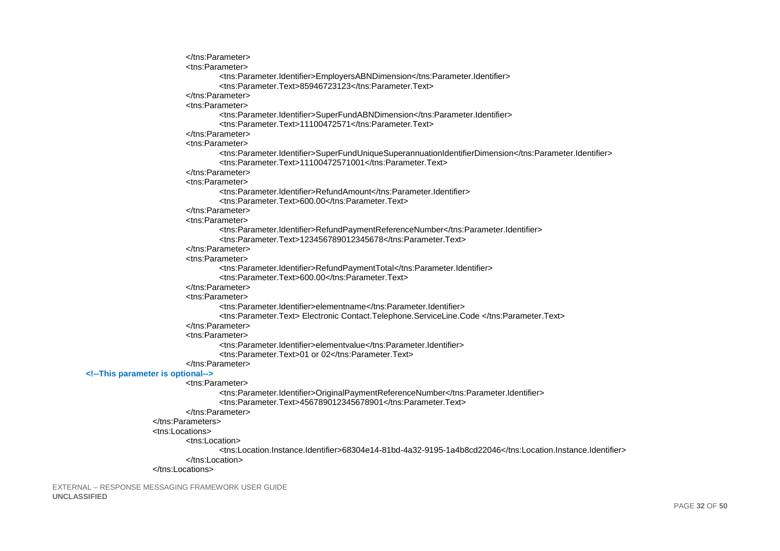```
</tns:Parameter>
                                 <tns:Parameter>
                                         <tns:Parameter.Identifier>EmployersABNDimension</tns:Parameter.Identifier>
                                         <tns:Parameter.Text>85946723123</tns:Parameter.Text>
                                 </tns:Parameter>
                                 <tns:Parameter>
                                         <tns:Parameter.Identifier>SuperFundABNDimension</tns:Parameter.Identifier>
                                         <tns:Parameter.Text>11100472571</tns:Parameter.Text>
                                 </tns:Parameter>
                                 <tns:Parameter>
                                         <tns:Parameter.Identifier>SuperFundUniqueSuperannuationIdentifierDimension</tns:Parameter.Identifier>
                                         <tns:Parameter.Text>11100472571001</tns:Parameter.Text>
                                 </tns:Parameter>
                                 <tns:Parameter>
                                         <tns:Parameter.Identifier>RefundAmount</tns:Parameter.Identifier>
                                         <tns:Parameter.Text>600.00</tns:Parameter.Text>
                                 </tns:Parameter>
                                 <tns:Parameter>
                                         <tns:Parameter.Identifier>RefundPaymentReferenceNumber</tns:Parameter.Identifier>
                                         <tns:Parameter.Text>123456789012345678</tns:Parameter.Text>
                                 </tns:Parameter>
                                 <tns:Parameter>
                                         <tns:Parameter.Identifier>RefundPaymentTotal</tns:Parameter.Identifier>
                                         <tns:Parameter Text>600 00</tns:Parameter Text>
                                 </tns:Parameter>
                                 <tns:Parameter>
                                         <tns:Parameter.Identifier>elementname</tns:Parameter.Identifier>
                                         <tns:Parameter.Text> Electronic Contact.Telephone.ServiceLine.Code </tns:Parameter.Text>
                                 </tns:Parameter>
                                 <tns:Parameter>
                                         <tns:Parameter.Identifier>elementyalue</tns:Parameter.Identifier>
                                         <tns:Parameter.Text>01 or 02</tns:Parameter.Text>
                                 </tns:Parameter>
        <!--This parameter is optional-->
                                 <tns:Parameter>
                                         <tns:Parameter.Identifier>OriginalPaymentReferenceNumber</tns:Parameter.Identifier>
                                         <tns:Parameter.Text>456789012345678901</tns:Parameter.Text>
                                 </tns:Parameter>
                         </tns:Parameters>
                         <tns:Locations>
                                 <tns:Location>
                                         <tns:Location.Instance.Identifier>68304e14-81bd-4a32-9195-1a4b8cd22046</tns:Location.Instance.Identifier>
                                 </tns:Location>
                         </tns:Locations>
EXTERNAL - RESPONSE MESSAGING FRAMEWORK USER GUIDE
```

```
UNCLASSIFIED
```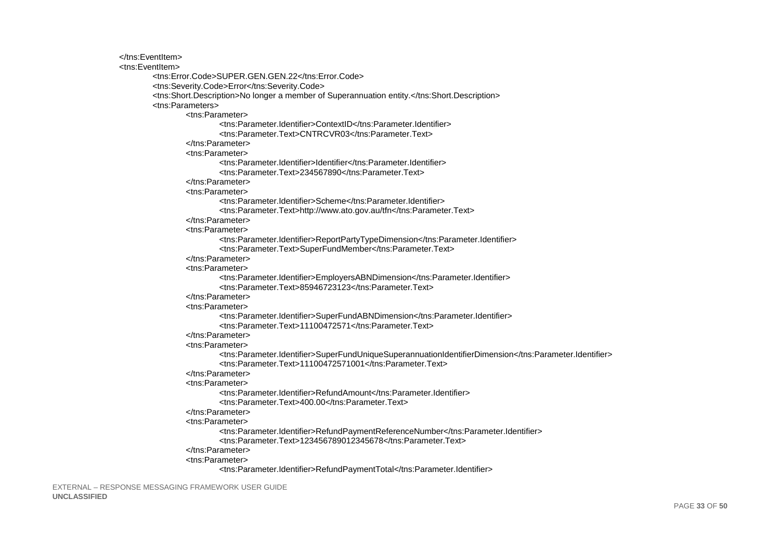</tns:EventItem> <tns:EventItem> <tns:Frror.Code>SUPER.GEN.GEN.22</tns:Frror.Code> <tns:Severity.Code>Error</tns:Severity.Code> <tns:Short.Description>No longer a member of Superannuation entity.</tns:Short.Description> <tns:Parameters> <tns:Parameter> <tns:Parameter.Identifier>ContextID</tns:Parameter.Identifier> <tns:Parameter.Text>CNTRCVR03</tns:Parameter.Text> </tns:Parameter> <tns:Parameter> <tns:Parameter.Identifier>Identifier</tns:Parameter.Identifier> <tns:Parameter.Text>234567890</tns:Parameter.Text>  $\epsilon$ /tns:Parameters <tns:Parameter> <tns:Parameter.Identifier>Scheme</tns:Parameter.Identifier> <tns:Parameter.Text>http://www.ato.gov.au/tfn</tns:Parameter.Text> </tns:Parameter> <tns:Parameter> <tns:Parameter.Identifier>ReportPartyTypeDimension</tns:Parameter.Identifier> <tns:Parameter.Text>SuperFundMember</tns:Parameter.Text> </tns:Parameter> <tns:Parameter> <tns:Parameter.Identifier>EmployersABNDimension</tns:Parameter.Identifier> <tns:Parameter.Text>85946723123</tns:Parameter.Text> </tns:Parameter> <tns:Parameter> <tns:Parameter.Identifier>SuperFundABNDimension</tns:Parameter.Identifier> <tns:Parameter.Text>11100472571</tns:Parameter.Text> </tns:Parameter> <tns:Parameter> <tns:Parameter.Identifier>SuperFundUniqueSuperannuationIdentifierDimension</tns:Parameter.Identifier> <tns:Parameter.Text>11100472571001</tns:Parameter.Text> </tns:Parameter> <tns:Parameter> <tns:Parameter.Identifier>RefundAmount</tns:Parameter.Identifier> <tns:Parameter.Text>400.00</tns:Parameter.Text> </tns:Parameter> <tns:Parameter> <tns:Parameter.Identifier>RefundPaymentReferenceNumber</tns:Parameter.Identifier> <tns:Parameter.Text>123456789012345678</tns:Parameter.Text> </tns:Parameter> <tns:Parameter> <tns:Parameter.Identifier>RefundPaymentTotal</tns:Parameter.Identifier>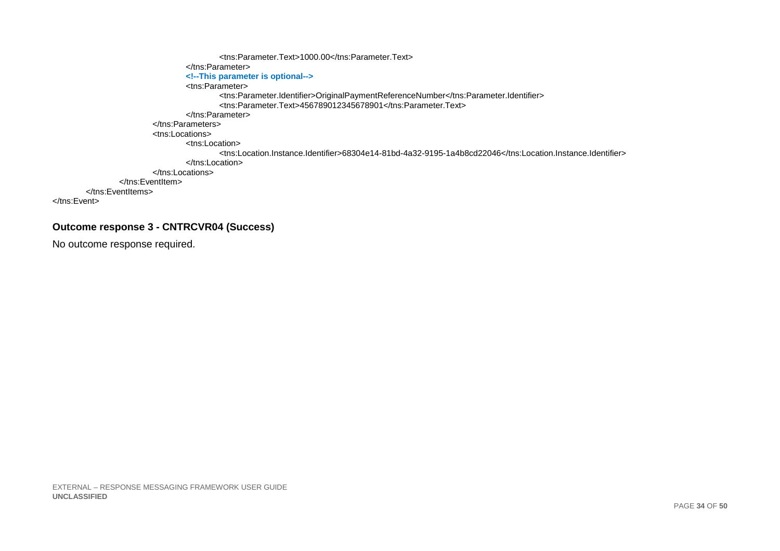```
<tns:Parameter.Text>1000.00</tns:Parameter.Text>
                                       \langletns:Parameter>
                                       <!--This parameter is optional-->
                                       <tns:Parameter>
                                                 <ths:Parameter.Identifier>OriginalPaymentReferenceNumber</tns:Parameter.Identifier><br><tns:Parameter.Text>456789012345678901</tns:Parameter.Text>
                                       \langletns:Parameter>
                             </tns:Parameters>
                              <tns:Locations>
                                       <tns:Location>
                                                 <tns:Location.Instance.Identifier>68304e14-81bd-4a32-9195-1a4b8cd22046</tns:Location.Instance.Identifier>
                                       </tns:Location>
                             </tns:Locations>
                    </tns:FventItem>
          </tns:EventItems>
\langletns:Event>
```
#### **Outcome response 3 - CNTRCVR04 (Success)**

No outcome response required.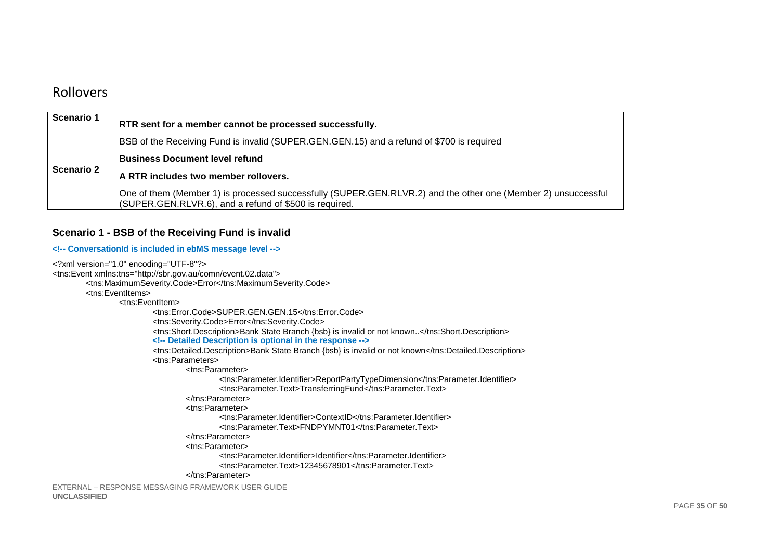### Rollovers

| Scenario 1        | RTR sent for a member cannot be processed successfully.                                                                                                                 |  |  |
|-------------------|-------------------------------------------------------------------------------------------------------------------------------------------------------------------------|--|--|
|                   | BSB of the Receiving Fund is invalid (SUPER.GEN.GEN.15) and a refund of \$700 is required                                                                               |  |  |
|                   | <b>Business Document level refund</b>                                                                                                                                   |  |  |
| <b>Scenario 2</b> | A RTR includes two member rollovers.                                                                                                                                    |  |  |
|                   | One of them (Member 1) is processed successfully (SUPER.GEN.RLVR.2) and the other one (Member 2) unsuccessful<br>(SUPER.GEN.RLVR.6), and a refund of \$500 is required. |  |  |

#### **Scenario 1 - BSB of the Receiving Fund is invalid**

#### **<!-- ConversationId is included in ebMS message level -->**

```
EXTERNAL – RESPONSE MESSAGING FRAMEWORK USER GUIDE UNCLASSIFIED <?xml version="1.0" encoding="UTF-8"?> 
<tns:Event xmlns:tns="http://sbr.gov.au/comn/event.02.data"> 
 <tns:MaximumSeverity.Code>Error</tns:MaximumSeverity.Code>  <tns:EventItems> 
 <tns:EventItem> 
 <tns:Error.Code>SUPER.GEN.GEN.15</tns:Error.Code>  <tns:Severity.Code>Error</tns:Severity.Code> 
 <tns:Short.Description>Bank State Branch {bsb} is invalid or not known..</tns:Short.Description> <!-- Detailed Description is optional in the response --> 
 <tns:Detailed.Description>Bank State Branch {bsb} is invalid or not known</tns:Detailed.Description>  <tns:Parameters> 
 <tns:Parameter> 
 <tns:Parameter.Identifier>ReportPartyTypeDimension</tns:Parameter.Identifier>  <tns:Parameter.Text>TransferringFund</tns:Parameter.Text>  </tns:Parameter>  <tns:Parameter> 
 <tns:Parameter.Identifier>ContextID</tns:Parameter.Identifier>  <tns:Parameter.Text>FNDPYMNT01</tns:Parameter.Text>  </tns:Parameter>  <tns:Parameter> 
 <tns:Parameter.Identifier>Identifier</tns:Parameter.Identifier>  <tns:Parameter.Text>12345678901</tns:Parameter.Text>  </tns:Parameter>
```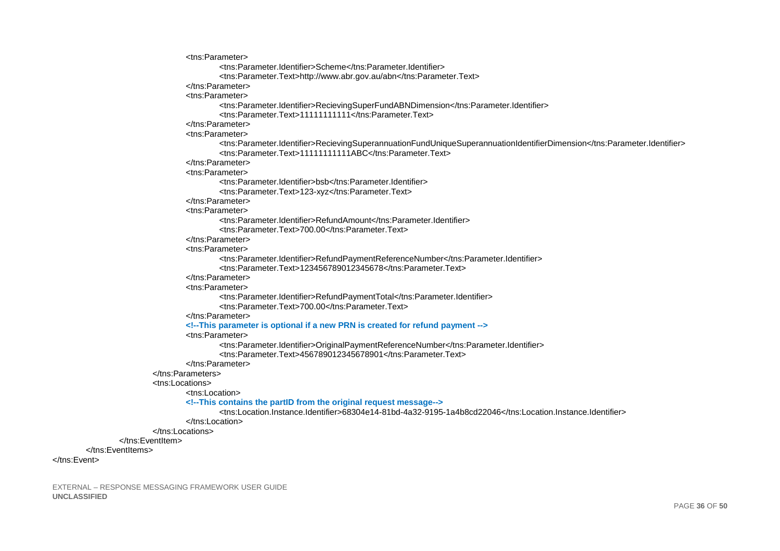```
<tns:Parameter>
                         <tns:Parameter.Identifier>Scheme</tns:Parameter.Identifier>
                         <tns:Parameter.Text>http://www.abr.gov.au/abn</tns:Parameter.Text>
                </tns:Parameter>
                <tns:Parameter>
                         <tns:Parameter.Identifier>RecievingSuperFundABNDimension</tns:Parameter.Identifier>
                         <tns:Parameter.Text>11111111111</tns:Parameter.Text>
                </tns:Parameter>
                <tns:Parameter>
                         <tns:Parameter.Identifier>RecievingSuperannuationFundUniqueSuperannuationIdentifierDimension</tns:Parameter.Identifier>
                         <tns:Parameter.Text>11111111111ABC</tns:Parameter.Text>
                </tns:Parameter>
                <tns:Parameter>
                         <tns:Parameter Identifier>hsh</tns:Parameter Identifier>
                         <tns:Parameter.Text>123-xyz</tns:Parameter.Text>
                </tns:Parameter>
                <tns:Parameter>
                         <tns:Parameter.Identifier>RefundAmount</tns:Parameter.Identifier>
                         <tns:Parameter Text>700.00</tns:Parameter Text>
                </tns:Parameter>
                <tns:Parameter>
                        <tns:Parameter.Identifier>RefundPaymentReferenceNumber</tns:Parameter.Identifier>
                         <tns:Parameter.Text>123456789012345678</tns:Parameter.Text>
                </tns:Parameter>
                <tns:Parameter>
                        <tns:Parameter.Identifier>RefundPaymentTotal</tns:Parameter.Identifier>
                         <tns:Parameter.Text>700.00</tns:Parameter.Text>
                </tns:Parameter>
                <!--This parameter is optional if a new PRN is created for refund payment -->
                <tns:Parameter>
                         <tns:Parameter.Identifier>OriginalPaymentReferenceNumber</tns:Parameter.Identifier>
                         <tns:Parameter.Text>456789012345678901</tns:Parameter.Text>
                </tns:Parameter>
        </tns:Parameters>
        <tns:Locations>
                <tns:Location>
                <!--This contains the partID from the original request message-->
                         <tns:Location.Instance.Identifier>68304e14-81bd-4a32-9195-1a4b8cd22046</tns:Location.Instance.Identifier>
                </tns:Location>
        </tns:Locations>
</tns:FventItem>
```
EXTERNAL - RESPONSE MESSAGING FRAMEWORK USER GUIDE **UNCLASSIFIED** 

</tns:FventItems>

</tns:Fvent>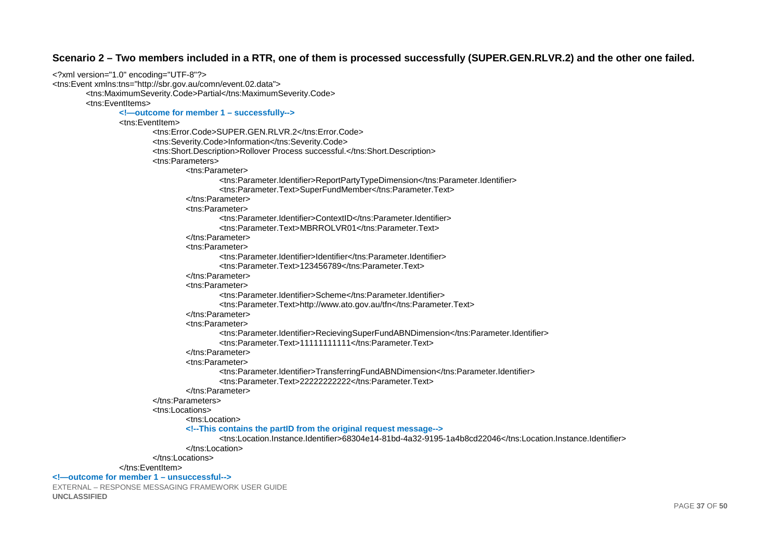#### Scenario 2 - Two members included in a RTR, one of them is processed successfully (SUPER.GEN.RLVR.2) and the other one failed.

```
<?xml version="1.0" encoding="UTF-8"?>
<tns:Event xmlns:tns="http://sbr.gov.au/comn/event.02.data">
        <tns:MaximumSeverity.Code>Partial</tns:MaximumSeverity.Code>
         <tns:FventItems>
                 <!-- outcome for member 1 - successfully-->
                 <tns:FventItem>
                          <tns:Error.Code>SUPER.GEN.RLVR.2</tns:Error.Code>
                          <tns:Severity.Code>Information</tns:Severity.Code>
                          <tns:Short.Description>Rollover Process successful.</tns:Short.Description>
                          <tns:Parameters>
                                   <tns:Parameter>
                                           <tns:Parameter.Identifier>ReportPartyTypeDimension</tns:Parameter.Identifier>
                                           <tns:Parameter.Text>SuperFundMember</tns:Parameter.Text>
                                   </tns:Parameter>
                                   <tns:Parameter>
                                           <tns: Parameter Identifier>ContextID</tns: Parameter Identifier>
                                           <tns:Parameter.Text>MBRROLVR01</tns:Parameter.Text>
                                   \langletns:Parameter>
                                   <tns:Parameter>
                                           <tns:Parameter.Identifier>Identifier</tns:Parameter.Identifier>
                                           <tns: Parameter Text>123456789</tns: Parameter Text>
                                   </tns:Parameter>
                                   <tns:Parameter>
                                           <tns:Parameter.Identifier>Scheme</tns:Parameter.Identifier>
                                           <tns:Parameter.Text>http://www.ato.gov.au/tfn</tns:Parameter.Text>
                                   </tns:Parameter>
                                   <tns:Parameter>
                                           <tns:Parameter.Identifier>RecievingSuperFundABNDimension</tns:Parameter.Identifier><br><tns:Parameter.Text>111111111111</tns:Parameter.Text>
                                   </tns:Parameter>
                                   <tns:Parameter>
                                           <tns:Parameter.Identifier>TransferringFundABNDimension</tns:Parameter.Identifier>
                                           <tns:Parameter.Text>22222222222</tns:Parameter.Text>
                                   </tns:Parameter>
                          </tns:Parameters>
                          <tns:Locations>
                                   <tns:Location>
                                   <!--This contains the partID from the original request message-->
                                           <tns:Location.Instance.Identifier>68304e14-81bd-4a32-9195-1a4b8cd22046</tns:Location.Instance.Identifier>
                                   </tns:Location>
                          \epsilon/tns: l ocations>
                 </tns:EventItem>
<!- outcome for member 1 - unsuccessful-->
EXTERNAL - RESPONSE MESSAGING FRAMEWORK USER GUIDE
UNCLASSIFIED
```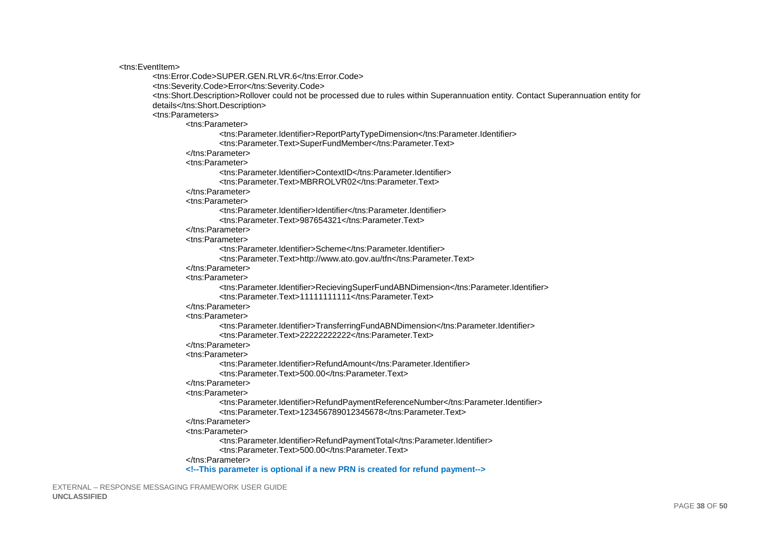<tns:EventItem>

```
<tns:Frror.Code>SUPER.GEN.RLVR.6</tns:Frror.Code>
<tns:Severity.Code>Error</tns:Severity.Code>
<tns:Short.Description>Rollover could not be processed due to rules within Superannuation entity. Contact Superannuation entity for
details</tns:Short.Description>
<tns:Parameters>
        <tns:Parameter>
                <tns:Parameter.Identifier>ReportPartyTypeDimension</tns:Parameter.Identifier>
                <tns:Parameter.Text>SuperFundMember</tns:Parameter.Text>
        </tns:Parameter>
        <tns:Parameter>
                <tns:Parameter.Identifier>ContextID</tns:Parameter.Identifier>
                <tns: Parameter Text>MBRROLVR02</tns: Parameter Text>
        </tns:Parameter>
        <tns:Parameter>
                <tns:Parameter.Identifier>Identifier</tns:Parameter.Identifier>
                <tns:Parameter.Text>987654321</tns:Parameter.Text>
        \epsilon/tns:Parameters
        <tns:Parameter>
                <tns:Parameter.Identifier>Scheme</tns:Parameter.Identifier>
                <tns:Parameter.Text>http://www.ato.gov.au/tfn</tns:Parameter.Text>
        </tns:Parameter>
        <tns:Parameter>
                <tns:Parameter.Identifier>RecievingSuperFundABNDimension</tns:Parameter.Identifier>
                <tns:Parameter.Text>11111111111</tns:Parameter.Text>
        </tns:Parameter>
        <tns:Parameter>
                <tns:Parameter.Identifier>TransferringFundABNDimension</tns:Parameter.Identifier>
                <tns:Parameter Text>22222222222/tns:Parameter Text>
        </tns:Parameter>
        <tns:Parameter>
                <tns:Parameter.Identifier>RefundAmount</tns:Parameter.Identifier>
                <tns:Parameter.Text>500.00</tns:Parameter.Text>
        </tns:Parameter>
        <tns:Parameter>
                <tns:Parameter.Identifier>RefundPaymentReferenceNumber</tns:Parameter.Identifier>
                <tns:Parameter.Text>123456789012345678</tns:Parameter.Text>
        </tns:Parameter>
        <tns:Parameter>
                <tns:Parameter.Identifier>RefundPaymentTotal</tns:Parameter.Identifier>
                <tns:Parameter.Text>500.00</tns:Parameter.Text>
        </tns:Parameter>
        <!--This parameter is optional if a new PRN is created for refund payment-->
```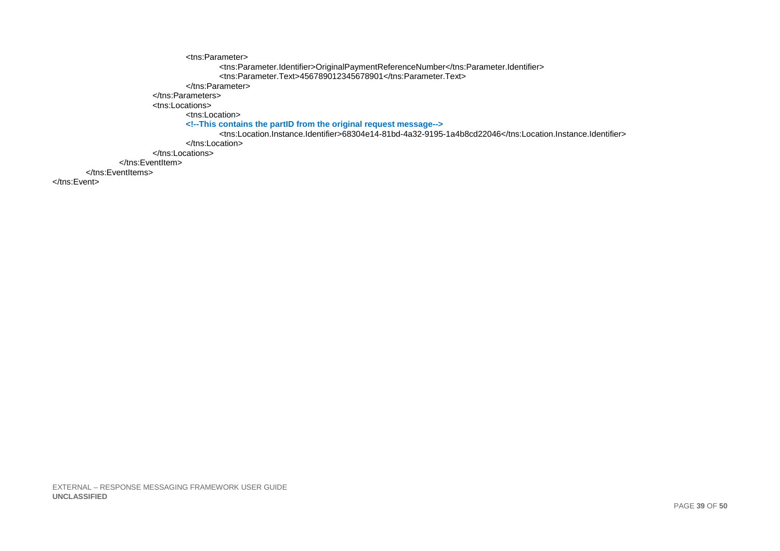```
<tns:Parameter>
                                     <ths:Parameter.Identifier>OriginalPaymentReferenceNumber</ths:Parameter.Identifier><br><ths:Parameter.Text>456789012345678901</ths:Parameter.Text>
                             </tns:Parameter>
                      </tns:Parameters>
                      <tns:Locations>
                             <tns:Location>
                             </tns:Location>
                      </tns:Locations>
              </tns:EventItem>
       </tns:EventItems>
\epsilon/tns: Fyents
```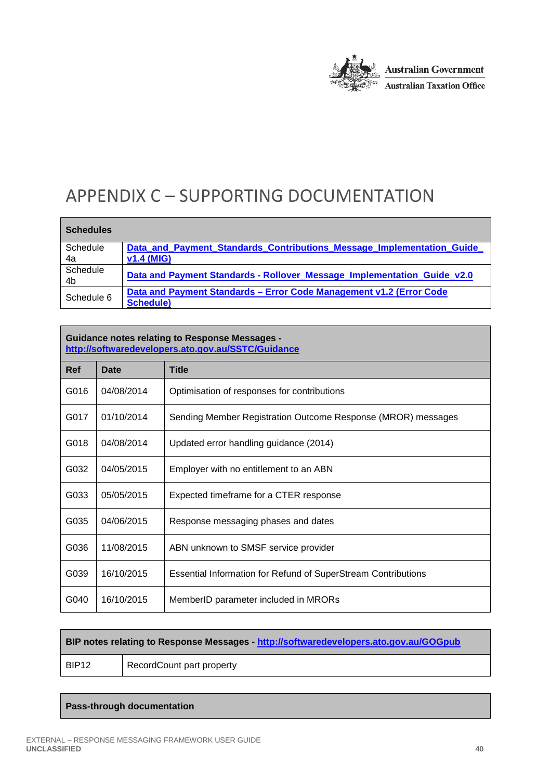

# APPENDIX C – SUPPORTING DOCUMENTATION

| <b>Schedules</b> |                                                                         |  |
|------------------|-------------------------------------------------------------------------|--|
| Schedule         | Data_and_Payment_Standards_Contributions_Message_Implementation_Guide_  |  |
| 4a               | <b>v1.4 (MIG)</b>                                                       |  |
| Schedule<br>4b   | Data and Payment Standards - Rollover_Message_Implementation_Guide_v2.0 |  |
| Schedule 6       | Data and Payment Standards - Error Code Management v1.2 (Error Code     |  |
|                  | <b>Schedule)</b>                                                        |  |

#### **Guidance notes relating to Response Messages http://softwaredevelopers.ato.gov.au/SSTC/Guidance**

| Ref  | Date       | <b>Title</b>                                                  |  |
|------|------------|---------------------------------------------------------------|--|
| G016 | 04/08/2014 | Optimisation of responses for contributions                   |  |
| G017 | 01/10/2014 | Sending Member Registration Outcome Response (MROR) messages  |  |
| G018 | 04/08/2014 | Updated error handling guidance (2014)                        |  |
| G032 | 04/05/2015 | Employer with no entitlement to an ABN                        |  |
| G033 | 05/05/2015 | Expected timeframe for a CTER response                        |  |
| G035 | 04/06/2015 | Response messaging phases and dates                           |  |
| G036 | 11/08/2015 | ABN unknown to SMSF service provider                          |  |
| G039 | 16/10/2015 | Essential Information for Refund of SuperStream Contributions |  |
| G040 | 16/10/2015 | MemberID parameter included in MRORs                          |  |

```
BIP notes relating to Response Messages - http://softwaredevelopers.ato.gov.au/GOGpub
BIP12 RecordCount part property
```
#### **Pass-through documentation**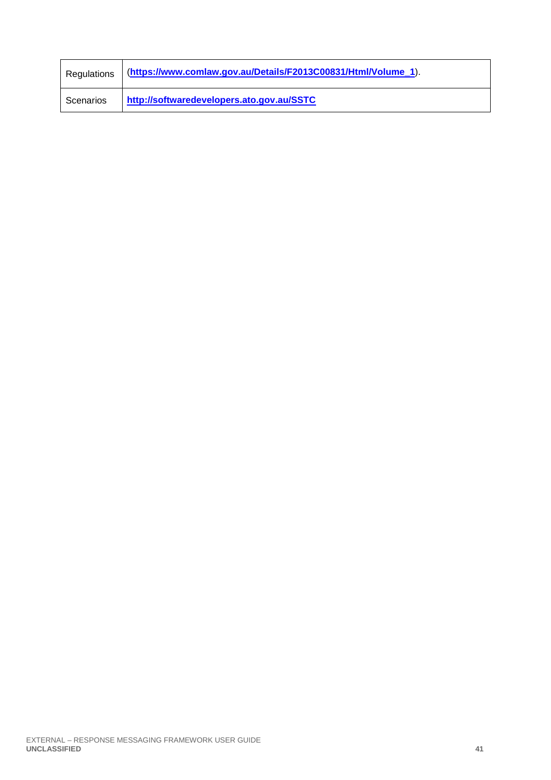| Regulations | (https://www.comlaw.gov.au/Details/F2013C00831/Html/Volume_1). |
|-------------|----------------------------------------------------------------|
| Scenarios   | http://softwaredevelopers.ato.gov.au/SSTC                      |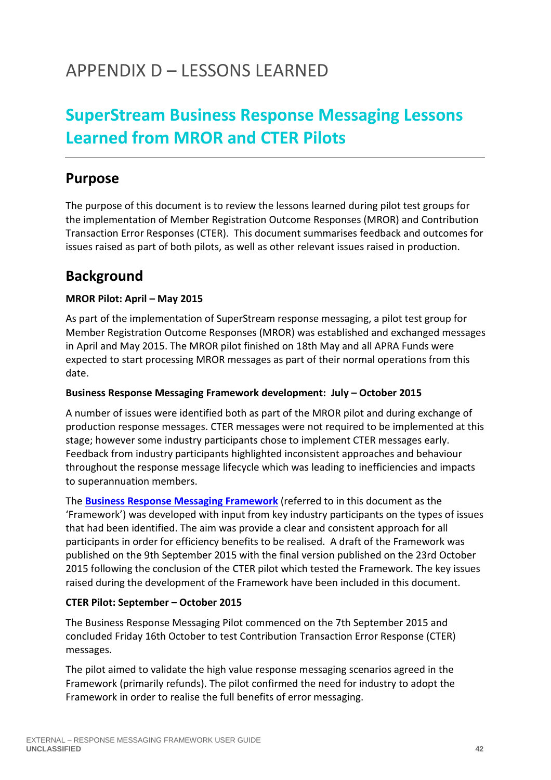# APPENDIX D – LESSONS LEARNED

# **SuperStream Business Response Messaging Lessons Learned from MROR and CTER Pilots**

## **Purpose**

The purpose of this document is to review the lessons learned during pilot test groups for the implementation of Member Registration Outcome Responses (MROR) and Contribution Transaction Error Responses (CTER). This document summarises feedback and outcomes for issues raised as part of both pilots, as well as other relevant issues raised in production.

## **Background**

### **MROR Pilot: April – May 2015**

As part of the implementation of SuperStream response messaging, a pilot test group for Member Registration Outcome Responses (MROR) was established and exchanged messages in April and May 2015. The MROR pilot finished on 18th May and all APRA Funds were expected to start processing MROR messages as part of their normal operations from this date.

#### **Business Response Messaging Framework development: July – October 2015**

A number of issues were identified both as part of the MROR pilot and during exchange of production response messages. CTER messages were not required to be implemented at this stage; however some industry participants chose to implement CTER messages early. Feedback from industry participants highlighted inconsistent approaches and behaviour throughout the response message lifecycle which was leading to inefficiencies and impacts to superannuation members.

The **Business Response Messaging Framework** (referred to in this document as the 'Framework') was developed with input from key industry participants on the types of issues that had been identified. The aim was provide a clear and consistent approach for all participants in order for efficiency benefits to be realised. A draft of the Framework was published on the 9th September 2015 with the final version published on the 23rd October 2015 following the conclusion of the CTER pilot which tested the Framework. The key issues raised during the development of the Framework have been included in this document.

#### **CTER Pilot: September – October 2015**

The Business Response Messaging Pilot commenced on the 7th September 2015 and concluded Friday 16th October to test Contribution Transaction Error Response (CTER) messages.

The pilot aimed to validate the high value response messaging scenarios agreed in the Framework (primarily refunds). The pilot confirmed the need for industry to adopt the Framework in order to realise the full benefits of error messaging.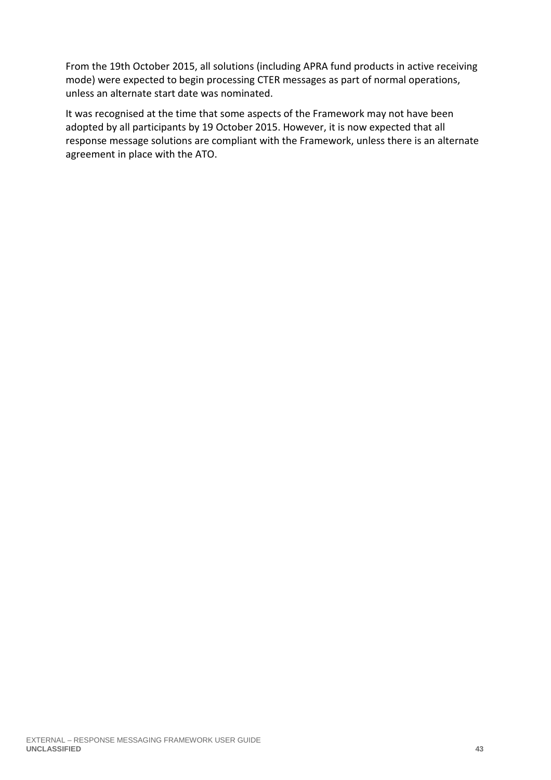From the 19th October 2015, all solutions (including APRA fund products in active receiving mode) were expected to begin processing CTER messages as part of normal operations, unless an alternate start date was nominated.

It was recognised at the time that some aspects of the Framework may not have been adopted by all participants by 19 October 2015. However, it is now expected that all response message solutions are compliant with the Framework, unless there is an alternate agreement in place with the ATO.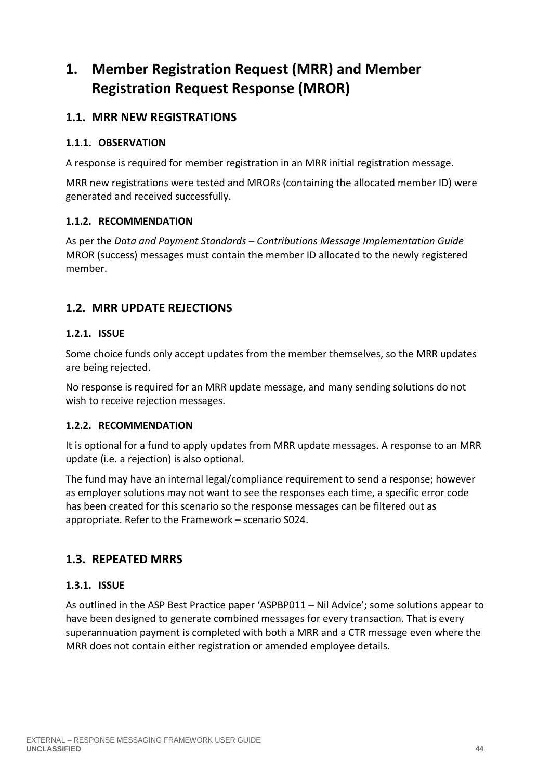## **1. Member Registration Request (MRR) and Member Registration Request Response (MROR)**

### **1.1. MRR NEW REGISTRATIONS**

#### **1.1.1. OBSERVATION**

A response is required for member registration in an MRR initial registration message.

MRR new registrations were tested and MRORs (containing the allocated member ID) were generated and received successfully.

#### **1.1.2. RECOMMENDATION**

As per the *Data and Payment Standards – Contributions Message Implementation Guide* MROR (success) messages must contain the member ID allocated to the newly registered member.

### **1.2. MRR UPDATE REJECTIONS**

#### **1.2.1. ISSUE**

Some choice funds only accept updates from the member themselves, so the MRR updates are being rejected.

No response is required for an MRR update message, and many sending solutions do not wish to receive rejection messages.

#### **1.2.2. RECOMMENDATION**

It is optional for a fund to apply updates from MRR update messages. A response to an MRR update (i.e. a rejection) is also optional.

The fund may have an internal legal/compliance requirement to send a response; however as employer solutions may not want to see the responses each time, a specific error code has been created for this scenario so the response messages can be filtered out as appropriate. Refer to the Framework – scenario S024.

### **1.3. REPEATED MRRS**

### **1.3.1. ISSUE**

As outlined in the ASP Best Practice paper 'ASPBP011 – Nil Advice'; some solutions appear to have been designed to generate combined messages for every transaction. That is every superannuation payment is completed with both a MRR and a CTR message even where the MRR does not contain either registration or amended employee details.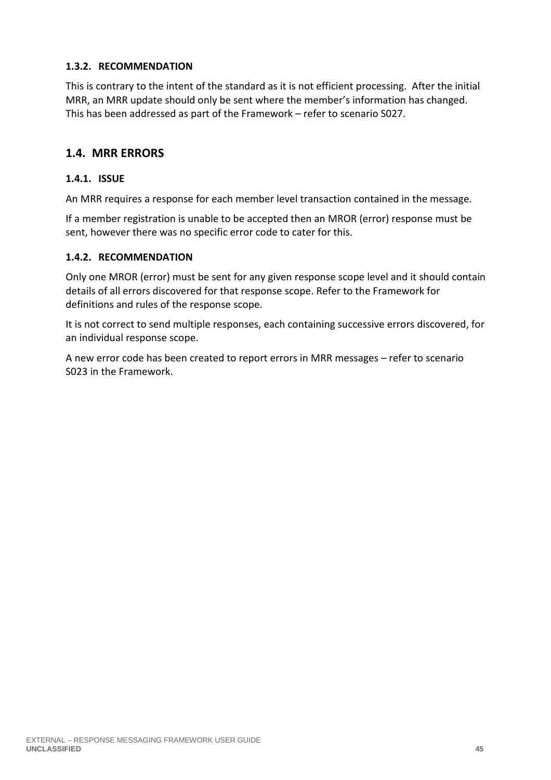#### **1.3.2. RECOMMENDATION**

This is contrary to the intent of the standard as it is not efficient processing. After the initial MRR, an MRR update should only be sent where the member's information has changed. This has been addressed as part of the Framework – refer to scenario S027.

### **1.4. MRR ERRORS**

#### **1.4.1. ISSUE**

An MRR requires a response for each member level transaction contained in the message.

If a member registration is unable to be accepted then an MROR (error) response must be sent, however there was no specific error code to cater for this.

#### **1.4.2. RECOMMENDATION**

Only one MROR (error) must be sent for any given response scope level and it should contain details of all errors discovered for that response scope. Refer to the Framework for definitions and rules of the response scope.

It is not correct to send multiple responses, each containing successive errors discovered, for an individual response scope.

A new error code has been created to report errors in MRR messages – refer to scenario S023 in the Framework.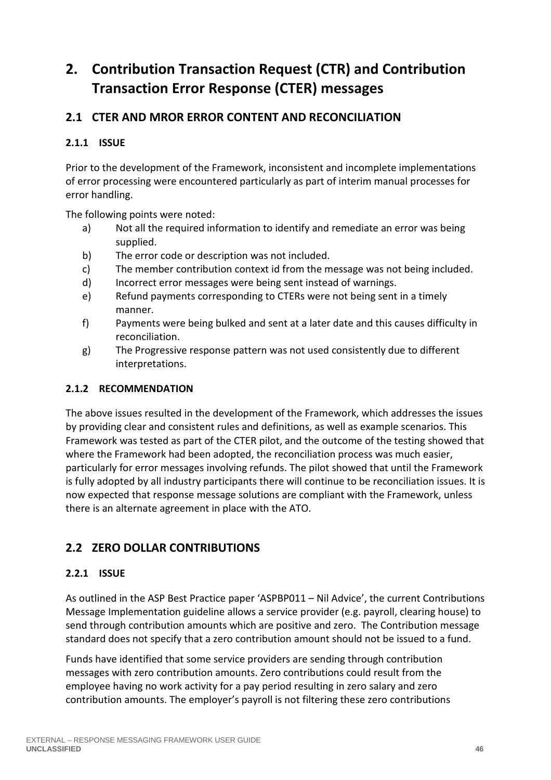# **2. Contribution Transaction Request (CTR) and Contribution Transaction Error Response (CTER) messages**

### **2.1 CTER AND MROR ERROR CONTENT AND RECONCILIATION**

#### **2.1.1 ISSUE**

Prior to the development of the Framework, inconsistent and incomplete implementations of error processing were encountered particularly as part of interim manual processes for error handling.

The following points were noted:

- a) Not all the required information to identify and remediate an error was being supplied.
- b) The error code or description was not included.
- c) The member contribution context id from the message was not being included.
- d) Incorrect error messages were being sent instead of warnings.
- e) Refund payments corresponding to CTERs were not being sent in a timely manner.
- f) Payments were being bulked and sent at a later date and this causes difficulty in reconciliation.
- g) The Progressive response pattern was not used consistently due to different interpretations.

#### **2.1.2 RECOMMENDATION**

The above issues resulted in the development of the Framework, which addresses the issues by providing clear and consistent rules and definitions, as well as example scenarios. This Framework was tested as part of the CTER pilot, and the outcome of the testing showed that where the Framework had been adopted, the reconciliation process was much easier, particularly for error messages involving refunds. The pilot showed that until the Framework is fully adopted by all industry participants there will continue to be reconciliation issues. It is now expected that response message solutions are compliant with the Framework, unless there is an alternate agreement in place with the ATO.

### **2.2 ZERO DOLLAR CONTRIBUTIONS**

#### **2.2.1 ISSUE**

As outlined in the ASP Best Practice paper 'ASPBP011 – Nil Advice', the current Contributions Message Implementation guideline allows a service provider (e.g. payroll, clearing house) to send through contribution amounts which are positive and zero. The Contribution message standard does not specify that a zero contribution amount should not be issued to a fund.

Funds have identified that some service providers are sending through contribution messages with zero contribution amounts. Zero contributions could result from the employee having no work activity for a pay period resulting in zero salary and zero contribution amounts. The employer's payroll is not filtering these zero contributions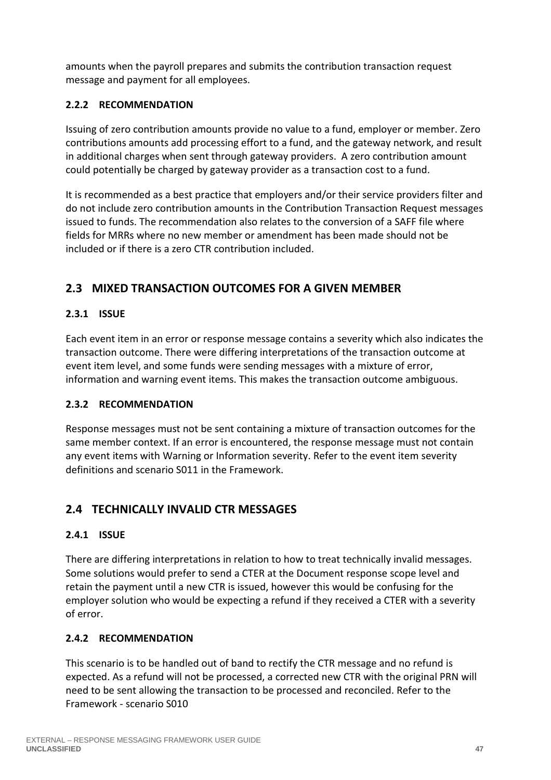amounts when the payroll prepares and submits the contribution transaction request message and payment for all employees.

#### **2.2.2 RECOMMENDATION**

Issuing of zero contribution amounts provide no value to a fund, employer or member. Zero contributions amounts add processing effort to a fund, and the gateway network, and result in additional charges when sent through gateway providers. A zero contribution amount could potentially be charged by gateway provider as a transaction cost to a fund.

It is recommended as a best practice that employers and/or their service providers filter and do not include zero contribution amounts in the Contribution Transaction Request messages issued to funds. The recommendation also relates to the conversion of a SAFF file where fields for MRRs where no new member or amendment has been made should not be included or if there is a zero CTR contribution included.

### **2.3 MIXED TRANSACTION OUTCOMES FOR A GIVEN MEMBER**

#### **2.3.1 ISSUE**

Each event item in an error or response message contains a severity which also indicates the transaction outcome. There were differing interpretations of the transaction outcome at event item level, and some funds were sending messages with a mixture of error, information and warning event items. This makes the transaction outcome ambiguous.

#### **2.3.2 RECOMMENDATION**

Response messages must not be sent containing a mixture of transaction outcomes for the same member context. If an error is encountered, the response message must not contain any event items with Warning or Information severity. Refer to the event item severity definitions and scenario S011 in the Framework.

### **2.4 TECHNICALLY INVALID CTR MESSAGES**

#### **2.4.1 ISSUE**

There are differing interpretations in relation to how to treat technically invalid messages. Some solutions would prefer to send a CTER at the Document response scope level and retain the payment until a new CTR is issued, however this would be confusing for the employer solution who would be expecting a refund if they received a CTER with a severity of error.

#### **2.4.2 RECOMMENDATION**

This scenario is to be handled out of band to rectify the CTR message and no refund is expected. As a refund will not be processed, a corrected new CTR with the original PRN will need to be sent allowing the transaction to be processed and reconciled. Refer to the Framework - scenario S010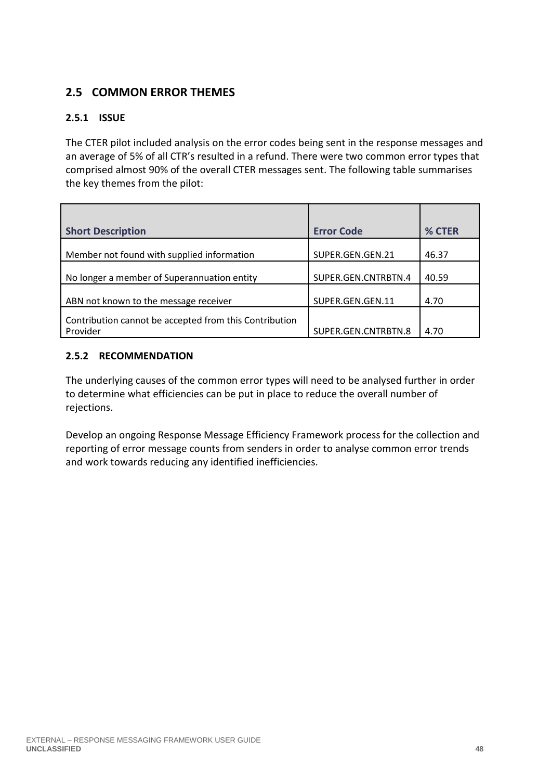### **2.5 COMMON ERROR THEMES**

#### **2.5.1 ISSUE**

The CTER pilot included analysis on the error codes being sent in the response messages and an average of 5% of all CTR's resulted in a refund. There were two common error types that comprised almost 90% of the overall CTER messages sent. The following table summarises the key themes from the pilot:

| <b>Short Description</b>                                           | <b>Error Code</b>   | % CTER |
|--------------------------------------------------------------------|---------------------|--------|
| Member not found with supplied information                         | SUPER.GEN.GEN.21    | 46.37  |
| No longer a member of Superannuation entity                        | SUPER.GEN.CNTRBTN.4 | 40.59  |
| ABN not known to the message receiver                              | SUPER.GEN.GEN.11    | 4.70   |
| Contribution cannot be accepted from this Contribution<br>Provider | SUPER.GEN.CNTRBTN.8 | 4.70   |

#### **2.5.2 RECOMMENDATION**

The underlying causes of the common error types will need to be analysed further in order to determine what efficiencies can be put in place to reduce the overall number of rejections.

Develop an ongoing Response Message Efficiency Framework process for the collection and reporting of error message counts from senders in order to analyse common error trends and work towards reducing any identified inefficiencies.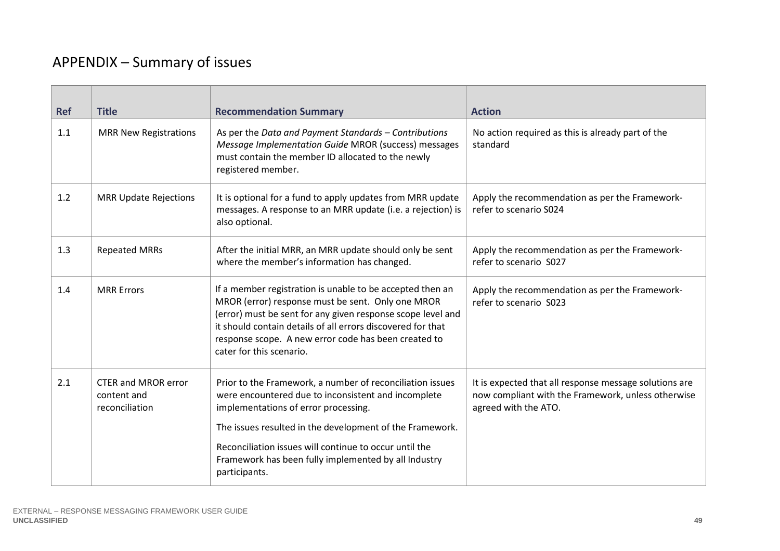# APPENDIX – Summary of issues

| <b>Ref</b><br><b>Title</b>                                         | <b>Recommendation Summary</b><br><b>Action</b>                                                                                                                                                                                                                                                                                                                                                                                                                                 |  |
|--------------------------------------------------------------------|--------------------------------------------------------------------------------------------------------------------------------------------------------------------------------------------------------------------------------------------------------------------------------------------------------------------------------------------------------------------------------------------------------------------------------------------------------------------------------|--|
| 1.1<br><b>MRR New Registrations</b>                                | As per the Data and Payment Standards - Contributions<br>No action required as this is already part of the<br>Message Implementation Guide MROR (success) messages<br>standard<br>must contain the member ID allocated to the newly<br>registered member.                                                                                                                                                                                                                      |  |
| 1.2<br><b>MRR Update Rejections</b>                                | It is optional for a fund to apply updates from MRR update<br>Apply the recommendation as per the Framework-<br>refer to scenario S024<br>messages. A response to an MRR update (i.e. a rejection) is<br>also optional.                                                                                                                                                                                                                                                        |  |
| 1.3<br><b>Repeated MRRs</b>                                        | After the initial MRR, an MRR update should only be sent<br>Apply the recommendation as per the Framework-<br>where the member's information has changed.<br>refer to scenario S027                                                                                                                                                                                                                                                                                            |  |
| <b>MRR Errors</b><br>1.4                                           | If a member registration is unable to be accepted then an<br>Apply the recommendation as per the Framework-<br>MROR (error) response must be sent. Only one MROR<br>refer to scenario S023<br>(error) must be sent for any given response scope level and<br>it should contain details of all errors discovered for that<br>response scope. A new error code has been created to<br>cater for this scenario.                                                                   |  |
| 2.1<br><b>CTER and MROR error</b><br>content and<br>reconciliation | Prior to the Framework, a number of reconciliation issues<br>It is expected that all response message solutions are<br>were encountered due to inconsistent and incomplete<br>now compliant with the Framework, unless otherwise<br>implementations of error processing.<br>agreed with the ATO.<br>The issues resulted in the development of the Framework.<br>Reconciliation issues will continue to occur until the<br>Framework has been fully implemented by all Industry |  |
|                                                                    | participants.                                                                                                                                                                                                                                                                                                                                                                                                                                                                  |  |